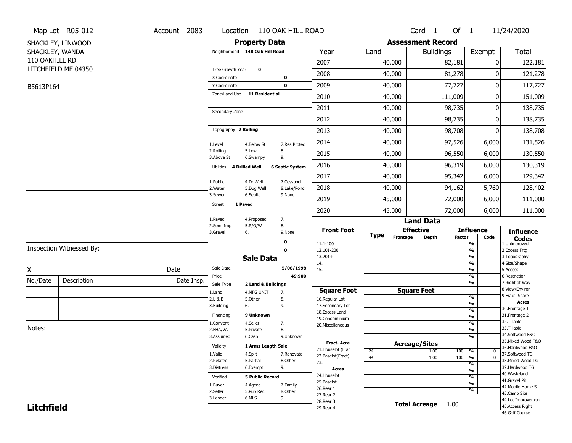|                   | Map Lot R05-012          | Account 2083 | Location                |                                | 110 OAK HILL ROAD         |                              |             |                          | Card <sub>1</sub>    | Of $1$        |                                | 11/24/2020                           |
|-------------------|--------------------------|--------------|-------------------------|--------------------------------|---------------------------|------------------------------|-------------|--------------------------|----------------------|---------------|--------------------------------|--------------------------------------|
|                   | SHACKLEY, LINWOOD        |              |                         | <b>Property Data</b>           |                           |                              |             | <b>Assessment Record</b> |                      |               |                                |                                      |
| SHACKLEY, WANDA   |                          |              |                         | Neighborhood 148 Oak Hill Road |                           | Year                         | Land        |                          | <b>Buildings</b>     |               | Exempt                         | <b>Total</b>                         |
| 110 OAKHILL RD    |                          |              |                         |                                |                           | 2007                         |             | 40,000                   |                      | 82,181        | 0                              | 122,181                              |
|                   | LITCHFIELD ME 04350      |              | Tree Growth Year        | $\mathbf 0$                    |                           |                              |             |                          |                      |               |                                |                                      |
|                   |                          |              | X Coordinate            |                                | $\mathbf 0$               | 2008                         |             | 40,000                   |                      | 81,278        | 0                              | 121,278                              |
| B5613P164         |                          |              | Y Coordinate            |                                | $\mathbf 0$               | 2009                         |             | 40,000                   |                      | 77,727        | 0                              | 117,727                              |
|                   |                          |              | Zone/Land Use           | <b>11 Residential</b>          |                           | 2010                         |             | 40,000                   |                      | 111,009       | 0                              | 151,009                              |
|                   |                          |              | Secondary Zone          |                                |                           | 2011                         |             | 40,000                   |                      | 98,735        | 0                              | 138,735                              |
|                   |                          |              |                         |                                |                           | 2012                         |             | 40,000                   |                      | 98,735        | 0                              | 138,735                              |
|                   |                          |              | Topography 2 Rolling    |                                |                           | 2013                         |             | 40,000                   |                      | 98,708        | 0                              | 138,708                              |
|                   |                          |              | 1.Level                 | 4.Below St                     | 7.Res Protec              | 2014                         |             | 40,000                   |                      | 97,526        | 6,000                          | 131,526                              |
|                   |                          |              | 2.Rolling<br>3.Above St | 5.Low<br>6.Swampy              | 8.<br>9.                  | 2015                         |             | 40,000                   |                      | 96,550        | 6,000                          | 130,550                              |
|                   |                          |              | Utilities               | <b>4 Drilled Well</b>          | <b>6 Septic System</b>    | 2016                         |             | 40,000                   |                      | 96,319        | 6,000                          | 130,319                              |
|                   |                          |              |                         |                                |                           | 2017                         |             | 40,000                   |                      | 95,342        | 6,000                          | 129,342                              |
|                   |                          |              | 1.Public<br>2. Water    | 4.Dr Well<br>5.Dug Well        | 7.Cesspool<br>8.Lake/Pond | 2018                         |             | 40,000                   |                      | 94,162        | 5,760                          | 128,402                              |
|                   |                          |              | 3.Sewer                 | 6.Septic                       | 9.None                    | 2019                         |             | 45,000                   |                      | 72,000        | 6,000                          | 111,000                              |
|                   |                          |              | <b>Street</b>           | 1 Paved                        |                           | 2020                         |             | 45,000                   |                      | 72,000        | 6,000                          | 111,000                              |
|                   |                          |              | 1.Paved                 | 4.Proposed                     | 7.                        |                              |             |                          | <b>Land Data</b>     |               |                                |                                      |
|                   |                          |              | 2.Semi Imp<br>3.Gravel  | 5.R/O/W<br>6.                  | 8.<br>9.None              | <b>Front Foot</b>            | <b>Type</b> | <b>Effective</b>         |                      |               | <b>Influence</b>               | <b>Influence</b>                     |
|                   |                          |              |                         |                                | $\mathbf 0$               | 11.1-100                     |             | Frontage                 | <b>Depth</b>         | <b>Factor</b> | Code<br>%                      | <b>Codes</b><br>1.Unimproved         |
|                   | Inspection Witnessed By: |              |                         |                                | $\mathbf 0$               | 12.101-200                   |             |                          |                      |               | $\frac{9}{6}$                  | 2.Excess Frtg                        |
|                   |                          |              |                         | <b>Sale Data</b>               |                           | $13.201+$<br>14.             |             |                          |                      |               | %<br>%                         | 3. Topography<br>4.Size/Shape        |
| X                 |                          | Date         | Sale Date               |                                | 5/08/1998                 | 15.                          |             |                          |                      |               | $\frac{9}{6}$                  | 5.Access                             |
| No./Date          | Description              | Date Insp.   | Price                   |                                | 49,900                    |                              |             |                          |                      |               | %                              | 6.Restriction                        |
|                   |                          |              | Sale Type               | 2 Land & Buildings             |                           | <b>Square Foot</b>           |             |                          | <b>Square Feet</b>   |               | %                              | 7. Right of Way<br>8.View/Environ    |
|                   |                          |              | 1.Land<br>2.L & B       | 4.MFG UNIT<br>5.0ther          | 7.<br>8.                  | 16.Regular Lot               |             |                          |                      |               | $\frac{9}{6}$                  | 9.Fract Share                        |
|                   |                          |              | 3.Building              | 6.                             | 9.                        | 17.Secondary Lot             |             |                          |                      |               | $\frac{9}{6}$                  | <b>Acres</b>                         |
|                   |                          |              | Financing               | 9 Unknown                      |                           | 18.Excess Land               |             |                          |                      |               | $\frac{9}{6}$                  | 30. Frontage 1<br>31. Frontage 2     |
|                   |                          |              | 1.Convent               | 4.Seller                       | 7.                        | 19.Condominium               |             |                          |                      |               | $\frac{9}{6}$<br>$\frac{9}{6}$ | 32. Tillable                         |
| Notes:            |                          |              | 2.FHA/VA                | 5.Private                      | 8.                        | 20.Miscellaneous             |             |                          |                      |               | $\frac{9}{6}$                  | 33.Tillable                          |
|                   |                          |              | 3.Assumed               | 6.Cash                         | 9.Unknown                 |                              |             |                          |                      |               | $\frac{9}{6}$                  | 34.Softwood F&O                      |
|                   |                          |              | Validity                | 1 Arms Length Sale             |                           | <b>Fract. Acre</b>           |             | <b>Acreage/Sites</b>     |                      |               |                                | 35. Mixed Wood F&O                   |
|                   |                          |              |                         |                                |                           | 21. Houselot (Frac           | 24          |                          | 1.00                 | 100           | %<br>0                         | 36.Hardwood F&O                      |
|                   |                          |              | 1.Valid<br>2.Related    | 4.Split<br>5.Partial           | 7.Renovate<br>8.Other     | 22.Baselot(Fract)            | 44          |                          | 1.00                 | 100           | $\overline{0}$<br>%            | 37.Softwood TG<br>38. Mixed Wood TG  |
|                   |                          |              | 3.Distress              | 6.Exempt                       | 9.                        | 23.                          |             |                          |                      |               | $\frac{9}{6}$                  | 39.Hardwood TG                       |
|                   |                          |              |                         |                                |                           | <b>Acres</b><br>24. Houselot |             |                          |                      |               | $\frac{9}{6}$                  | 40. Wasteland                        |
|                   |                          |              | Verified                | <b>5 Public Record</b>         |                           | 25.Baselot                   |             |                          |                      |               | $\frac{9}{6}$<br>$\frac{9}{6}$ | 41.Gravel Pit                        |
|                   |                          |              | 1.Buyer                 | 4.Agent                        | 7.Family                  | 26.Rear 1                    |             |                          |                      |               | $\frac{9}{6}$                  | 42. Mobile Home Si                   |
|                   |                          |              | 2.Seller<br>3.Lender    | 5.Pub Rec<br>6.MLS             | 8.Other<br>9.             | 27.Rear 2                    |             |                          |                      |               |                                | 43.Camp Site                         |
|                   |                          |              |                         |                                |                           | 28. Rear 3                   |             |                          | <b>Total Acreage</b> | 1.00          |                                | 44.Lot Improvemen<br>45.Access Right |
| <b>Litchfield</b> |                          |              |                         |                                |                           | 29. Rear 4                   |             |                          |                      |               |                                | 46.Golf Course                       |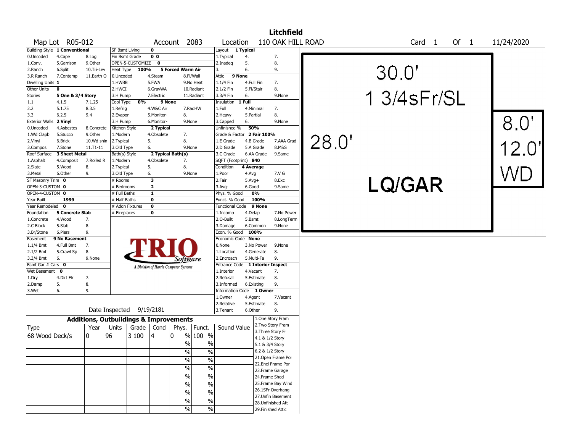|                                |                               |                                                   |                          |                  |                         |                                       |            |                         |                   |             | <b>Litchfield</b>         |       |                             |            |
|--------------------------------|-------------------------------|---------------------------------------------------|--------------------------|------------------|-------------------------|---------------------------------------|------------|-------------------------|-------------------|-------------|---------------------------|-------|-----------------------------|------------|
|                                | Map Lot R05-012               |                                                   |                          |                  |                         | Account 2083                          |            | Location                |                   |             | 110 OAK HILL ROAD         |       | Card <sub>1</sub><br>Of $1$ | 11/24/2020 |
|                                | Building Style 1 Conventional |                                                   | SF Bsmt Living           |                  | 0                       |                                       |            | Layout                  | 1 Typical         |             |                           |       |                             |            |
| 0.Uncoded                      | 4.Cape                        | 8.Log                                             | Fin Bsmt Grade           |                  | 0 <sub>0</sub>          |                                       |            | 1.Typical               | 4.                |             | 7.                        |       |                             |            |
| 1.Conv.                        | 5.Garrison                    | 9.0ther                                           |                          | OPEN-5-CUSTOMIZE | $\bf{0}$                |                                       |            | 2.Inadeq                | 5.                |             | 8.                        |       |                             |            |
| 2.Ranch                        | 6.Split                       | 10.Tri-Lev                                        | Heat Type                | 100%             |                         | 5 Forced Warm Air                     |            | 3.                      | 6.                |             | 9.                        |       |                             |            |
| 3.R Ranch                      | 7.Contemp                     | 11.Earth O                                        | 0.Uncoded                |                  | 4.Steam                 |                                       | 8.Fl/Wall  | Attic<br>9 None         |                   |             |                           |       | 30.0"                       |            |
| Dwelling Units 1               |                               |                                                   | 1.HWBB                   |                  | 5.FWA                   |                                       | 9.No Heat  | $1.1/4$ Fin             | 4.Full Fin        |             | 7.                        |       |                             |            |
| Other Units                    | 0                             |                                                   | 2.HWCI                   |                  | 6.GravWA                |                                       | 10.Radiant | 2.1/2 Fin               | 5.Fl/Stair        |             | 8.                        |       |                             |            |
| <b>Stories</b>                 | 5 One & 3/4 Story             |                                                   | 3.H Pump                 |                  | 7.Electric              |                                       | 11.Radiant | 3.3/4 Fin               | 6.                |             | 9.None                    |       | 1 3/4 s Fr/SL               |            |
| 1.1                            | 4.1.5                         | 7.1.25                                            | Cool Type                | 0%               |                         | 9 None                                |            | Insulation              | 1 Full            |             |                           |       |                             |            |
| 2.2                            | 5.1.75                        | 8.3.5                                             | 1.Refrig                 |                  | 4.W&C Air               |                                       | 7.RadHW    | 1.Full                  | 4.Minimal         |             | 7.                        |       |                             |            |
| 3.3                            | 6.2.5                         | 9.4                                               | 2.Evapor                 |                  | 5.Monitor-              | 8.                                    |            | 2.Heavy                 | 5.Partial         |             | 8.                        |       |                             |            |
| <b>Exterior Walls</b>          | 2 Vinyl                       |                                                   | 3.H Pump                 |                  | 6.Monitor-              | 9.None                                |            | 3.Capped                | 6.                |             | 9.None                    |       |                             | 8.0        |
| 0.Uncoded                      | 4.Asbestos                    | 8.Concrete                                        | Kitchen Style            |                  | 2 Typical               |                                       |            | Unfinished %            | 50%               |             |                           |       |                             |            |
| 1.Wd Clapb                     | 5.Stucco                      | 9.Other                                           | 1.Modern                 |                  | 4.Obsolete              | 7.                                    |            | Grade & Factor          |                   | 2 Fair 100% |                           |       |                             |            |
| 2.Vinyl                        | 6.Brick                       | 10.Wd shin                                        | 2.Typical                |                  | 5.                      | 8.                                    |            | 1.E Grade               |                   | 4.B Grade   | 7.AAA Grad                |       |                             |            |
| 3.Compos.                      | 7.Stone                       | 11.T1-11                                          | 3.Old Type               |                  | 6.                      | 9.None                                |            | 2.D Grade               |                   | 5.A Grade   | 8.M&S                     | 28.0" |                             |            |
| Roof Surface                   | 3 Sheet Metal                 |                                                   | Bath(s) Style            |                  |                         | 2 Typical Bath(s)                     |            | 3.C Grade               |                   | 6.AA Grade  | 9.Same                    |       |                             |            |
| 1.Asphalt                      | 4.Composit                    | 7.Rolled R                                        | 1.Modern                 |                  | 4.Obsolete              | 7.                                    |            | SQFT (Footprint) 840    |                   |             |                           |       |                             |            |
| 2.Slate                        | 5.Wood                        | 8.                                                | 2. Typical               |                  | 5.                      | 8.                                    |            | Condition               | 4 Average         |             |                           |       |                             |            |
| 3.Metal                        | 6.Other                       | 9.                                                | 3.Old Type               |                  | 6.                      | 9.None                                |            | 1.Poor                  | 4.Avg             |             | 7.V G                     |       |                             |            |
| SF Masonry Trim 0              |                               |                                                   | # Rooms                  |                  | 3                       |                                       |            | 2.Fair                  | $5.Avg+$          |             | 8.Exc                     |       |                             |            |
| OPEN-3-CUSTOM 0                |                               |                                                   | # Bedrooms               |                  | $\overline{2}$          |                                       |            | 3.Avg-                  | 6.Good            |             | 9.Same                    |       | LQ/GAR                      |            |
| OPEN-4-CUSTOM 0                |                               |                                                   | # Full Baths             |                  | 1                       |                                       |            | Phys. % Good            |                   | 0%          |                           |       |                             |            |
| Year Built                     | 1999                          |                                                   | # Half Baths             |                  | $\overline{\mathbf{0}}$ |                                       |            | Funct. % Good           |                   | 100%        |                           |       |                             |            |
| Year Remodeled 0               |                               |                                                   |                          | # Addn Fixtures  | $\bf o$                 |                                       |            | <b>Functional Code</b>  |                   | 9 None      |                           |       |                             |            |
| Foundation                     | <b>5 Concrete Slab</b>        |                                                   |                          |                  | $\mathbf 0$             |                                       |            |                         |                   |             | 7.No Power                |       |                             |            |
|                                | 4.Wood                        | 7.                                                | # Fireplaces             |                  |                         |                                       |            | 1.Incomp<br>2.O-Built   | 4.Delap<br>5.Bsmt |             |                           |       |                             |            |
| 1.Concrete<br>2.C Block        | 5.Slab                        | 8.                                                |                          |                  |                         |                                       |            | 3.Damage                |                   | 6.Common    | 8.LongTerm<br>9.None      |       |                             |            |
| 3.Br/Stone                     | 6.Piers                       | 9.                                                |                          |                  |                         |                                       |            | Econ. % Good            | 100%              |             |                           |       |                             |            |
| Basement                       | 9 No Basement                 |                                                   |                          |                  |                         |                                       |            | Economic Code None      |                   |             |                           |       |                             |            |
| $1.1/4$ Bmt                    | 4.Full Bmt                    | 7.                                                |                          |                  |                         |                                       |            | 0.None                  |                   | 3.No Power  | 9.None                    |       |                             |            |
| $2.1/2$ Bmt                    | 5.Crawl Sp                    | 8.                                                |                          |                  |                         |                                       |            | 1.Location              |                   | 4.Generate  | 8.                        |       |                             |            |
|                                | 6.                            | 9.None                                            |                          |                  |                         |                                       |            | 2.Encroach              | 5.Multi-Fa        |             | 9.                        |       |                             |            |
| 3.3/4 Bmt<br>Bsmt Gar # Cars 0 |                               |                                                   |                          |                  |                         | Software                              |            | Entrance Code           |                   |             | <b>1 Interior Inspect</b> |       |                             |            |
| Wet Basement                   | $\mathbf 0$                   |                                                   |                          |                  |                         | A Division of Harris Computer Systems |            | 1.Interior              | 4.Vacant          |             | 7.                        |       |                             |            |
| 1.Dry                          | 4.Dirt Flr                    | 7.                                                |                          |                  |                         |                                       |            | 2.Refusal               |                   | 5.Estimate  | 8.                        |       |                             |            |
|                                |                               | 8.                                                |                          |                  |                         |                                       |            | 3.Informed              |                   |             | 9.                        |       |                             |            |
| 2.Damp                         | 5.<br>6.                      |                                                   |                          |                  |                         |                                       |            |                         | 6.Existing        |             |                           |       |                             |            |
| 3.Wet                          |                               | 9.                                                |                          |                  |                         |                                       |            | <b>Information Code</b> |                   | 1 Owner     | 7.Vacant                  |       |                             |            |
|                                |                               |                                                   |                          |                  |                         |                                       |            | 1.Owner                 | 4.Agent           |             |                           |       |                             |            |
|                                |                               |                                                   | Date Inspected 9/19/2181 |                  |                         |                                       |            | 2.Relative<br>3.Tenant  | 6.Other           | 5.Estimate  | 8.<br>9.                  |       |                             |            |
|                                |                               | <b>Additions, Outbuildings &amp; Improvements</b> |                          |                  |                         |                                       |            |                         |                   |             | 1.One Story Fram          |       |                             |            |
|                                |                               | Year                                              | Units                    | Grade            | Cond                    |                                       |            | Sound Value             |                   |             | 2. Two Story Fram         |       |                             |            |
| Type                           |                               |                                                   |                          |                  |                         | Phys.                                 | Funct.     |                         |                   |             | 3. Three Story Fr         |       |                             |            |
| 68 Wood Deck/s                 |                               | $\mathbf{0}$                                      | 96                       | 3 100            | 4                       | 0                                     | % 100 %    |                         |                   |             | 4.1 & 1/2 Story           |       |                             |            |
|                                |                               |                                                   |                          |                  |                         | $\%$                                  | $\%$       |                         |                   |             | 5.1 & 3/4 Story           |       |                             |            |
|                                |                               |                                                   |                          |                  |                         | $\sqrt{6}$                            | $\sqrt{6}$ |                         |                   |             | 6.2 & 1/2 Story           |       |                             |            |
|                                |                               |                                                   |                          |                  |                         | $\frac{0}{0}$                         | $\%$       |                         |                   |             | 21.Open Frame Por         |       |                             |            |
|                                |                               |                                                   |                          |                  |                         |                                       |            |                         |                   |             | 22.Encl Frame Por         |       |                             |            |
|                                |                               |                                                   |                          |                  |                         | $\%$                                  | $\%$       |                         |                   |             | 23. Frame Garage          |       |                             |            |
|                                |                               |                                                   |                          |                  |                         | $\sqrt{20}$                           | $\%$       |                         |                   |             | 24.Frame Shed             |       |                             |            |
|                                |                               |                                                   |                          |                  |                         | $\frac{0}{0}$                         | $\%$       |                         |                   |             | 25. Frame Bay Wind        |       |                             |            |
|                                |                               |                                                   |                          |                  |                         | $\sqrt{20}$                           |            |                         |                   |             | 26.1SFr Overhang          |       |                             |            |
|                                |                               |                                                   |                          |                  |                         |                                       | $\%$       |                         |                   |             | 27.Unfin Basement         |       |                             |            |
|                                |                               |                                                   |                          |                  |                         | $\sqrt{20}$                           | $\%$       |                         |                   |             | 28. Unfinished Att        |       |                             |            |
|                                |                               |                                                   |                          |                  |                         | $\sqrt{20}$                           | $\%$       |                         |                   |             | 29. Finished Attic        |       |                             |            |
|                                |                               |                                                   |                          |                  |                         |                                       |            |                         |                   |             |                           |       |                             |            |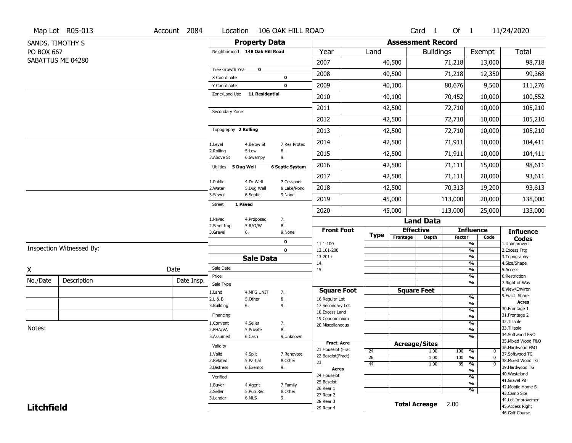|                   | Map Lot R05-013          | Account 2084 |                                |                        | Location 106 OAK HILL ROAD |                                    |             |          | Card 1                    | Of $1$                  |                                         | 11/24/2020                           |
|-------------------|--------------------------|--------------|--------------------------------|------------------------|----------------------------|------------------------------------|-------------|----------|---------------------------|-------------------------|-----------------------------------------|--------------------------------------|
|                   | SANDS, TIMOTHY S         |              |                                | <b>Property Data</b>   |                            |                                    |             |          | <b>Assessment Record</b>  |                         |                                         |                                      |
| PO BOX 667        |                          |              | Neighborhood 148 Oak Hill Road |                        |                            | Year                               | Land        |          | <b>Buildings</b>          |                         | Exempt                                  | Total                                |
|                   | SABATTUS ME 04280        |              |                                |                        |                            | 2007                               |             | 40,500   |                           | 71,218                  | 13,000                                  | 98,718                               |
|                   |                          |              | Tree Growth Year               | $\mathbf 0$            |                            | 2008                               |             | 40,500   |                           | 71,218                  | 12,350                                  | 99,368                               |
|                   |                          |              | X Coordinate<br>Y Coordinate   |                        | $\bf o$<br>0               | 2009                               |             | 40,100   |                           | 80,676                  | 9,500                                   | 111,276                              |
|                   |                          |              | Zone/Land Use                  | <b>11 Residential</b>  |                            | 2010                               |             | 40,100   |                           | 70,452                  | 10,000                                  | 100,552                              |
|                   |                          |              |                                |                        |                            | 2011                               |             | 42,500   |                           | 72,710                  | 10,000                                  | 105,210                              |
|                   |                          |              | Secondary Zone                 |                        |                            | 2012                               |             | 42,500   |                           | 72,710                  | 10,000                                  | 105,210                              |
|                   |                          |              | Topography 2 Rolling           |                        |                            |                                    |             |          |                           |                         |                                         |                                      |
|                   |                          |              |                                |                        |                            | 2013                               |             | 42,500   |                           | 72,710                  | 10,000                                  | 105,210                              |
|                   |                          |              | 1.Level<br>2.Rolling           | 4.Below St<br>5.Low    | 7.Res Protec<br>8.         | 2014                               |             | 42,500   |                           | 71,911                  | 10,000                                  | 104,411                              |
|                   |                          |              | 3.Above St                     | 6.Swampy               | 9.                         | 2015                               |             | 42,500   |                           | 71,911                  | 10,000                                  | 104,411                              |
|                   |                          |              | Utilities 5 Dug Well           |                        | <b>6 Septic System</b>     | 2016                               |             | 42,500   |                           | 71,111                  | 15,000                                  | 98,611                               |
|                   |                          |              | 1.Public                       | 4.Dr Well              | 7.Cesspool                 | 2017                               |             | 42,500   |                           | 71,111                  | 20,000                                  | 93,611                               |
|                   |                          |              | 2.Water<br>3.Sewer             | 5.Dug Well<br>6.Septic | 8.Lake/Pond<br>9.None      | 2018                               |             | 42,500   |                           | 70,313                  | 19,200                                  | 93,613                               |
|                   |                          |              | <b>Street</b><br>1 Paved       |                        |                            | 2019                               |             | 45,000   |                           | 113,000                 | 20,000                                  | 138,000                              |
|                   |                          |              |                                |                        |                            | 2020                               |             | 45,000   |                           | 113,000                 | 25,000                                  | 133,000                              |
|                   |                          |              | 1.Paved<br>2.Semi Imp          | 4.Proposed<br>5.R/O/W  | 7.<br>8.                   |                                    |             |          | <b>Land Data</b>          |                         |                                         |                                      |
|                   |                          |              | 3.Gravel<br>6.                 |                        | 9.None                     | <b>Front Foot</b>                  | <b>Type</b> | Frontage | <b>Effective</b><br>Depth | <b>Factor</b>           | <b>Influence</b><br>Code                | <b>Influence</b>                     |
|                   | Inspection Witnessed By: |              |                                |                        | 0                          | 11.1-100                           |             |          |                           |                         | $\frac{9}{6}$                           | <b>Codes</b><br>1.Unimproved         |
|                   |                          |              |                                | <b>Sale Data</b>       | $\mathbf 0$                | 12.101-200<br>$13.201+$            |             |          |                           |                         | $\frac{9}{6}$<br>$\frac{9}{6}$          | 2.Excess Frtg<br>3. Topography       |
|                   |                          |              | Sale Date                      |                        |                            | 14.                                |             |          |                           |                         | $\frac{9}{6}$                           | 4.Size/Shape                         |
| $\underline{x}$   |                          | Date         | Price                          |                        |                            | 15.                                |             |          |                           |                         | $\frac{9}{6}$<br>$\frac{9}{6}$          | 5.Access<br>6.Restriction            |
| No./Date          | Description              | Date Insp.   | Sale Type                      |                        |                            |                                    |             |          |                           |                         | $\frac{9}{6}$                           | 7. Right of Way                      |
|                   |                          |              | 1.Land                         | 4.MFG UNIT             | 7.                         | <b>Square Foot</b>                 |             |          | <b>Square Feet</b>        |                         |                                         | 8.View/Environ<br>9.Fract Share      |
|                   |                          |              | 2.L & B<br>3.Building          | 5.Other                | 8.<br>9.                   | 16.Regular Lot<br>17.Secondary Lot |             |          |                           |                         | %<br>%                                  | <b>Acres</b>                         |
|                   |                          |              | 6.                             |                        |                            | 18.Excess Land                     |             |          |                           |                         | %                                       | 30. Frontage 1                       |
|                   |                          |              | Financing                      |                        |                            | 19.Condominium                     |             |          |                           |                         | %                                       | 31. Frontage 2<br>32. Tillable       |
| Notes:            |                          |              | 1.Convent                      | 4.Seller               | 7.                         | 20.Miscellaneous                   |             |          |                           |                         | %                                       | 33.Tillable                          |
|                   |                          |              | 2.FHA/VA<br>3.Assumed          | 5.Private<br>6.Cash    | 8.<br>9.Unknown            |                                    |             |          |                           |                         | %<br>%                                  | 34.Softwood F&O                      |
|                   |                          |              |                                |                        |                            |                                    |             |          |                           |                         |                                         | 35. Mixed Wood F&O                   |
|                   |                          |              |                                |                        |                            | Fract. Acre                        |             |          |                           |                         |                                         |                                      |
|                   |                          |              | Validity                       |                        |                            | 21. Houselot (Frac                 |             |          | <b>Acreage/Sites</b>      |                         |                                         | 36.Hardwood F&O                      |
|                   |                          |              | 1.Valid                        | 4.Split                | 7.Renovate                 | 22.Baselot(Fract)                  | 24<br>26    |          | 1.00<br>1.00              | 100<br>$\overline{100}$ | %<br>0<br>$\frac{9}{6}$<br>$\mathbf{0}$ | 37.Softwood TG                       |
|                   |                          |              | 2.Related                      | 5.Partial              | 8.Other                    | 23.                                | 44          |          | 1.00                      | 85                      | $\frac{9}{6}$                           | 38. Mixed Wood TG                    |
|                   |                          |              | 3.Distress                     | 6.Exempt               | 9.                         | <b>Acres</b>                       |             |          |                           |                         | $\frac{9}{6}$                           | 39.Hardwood TG                       |
|                   |                          |              | Verified                       |                        |                            | 24. Houselot                       |             |          |                           |                         | $\frac{9}{6}$                           | 40. Wasteland<br>41.Gravel Pit       |
|                   |                          |              | 1.Buyer                        | 4.Agent                | 7.Family                   | 25.Baselot<br>26.Rear 1            |             |          |                           |                         | $\frac{9}{6}$                           | 42. Mobile Home Si                   |
|                   |                          |              | 2.Seller                       | 5.Pub Rec              | 8.Other                    | 27.Rear 2                          |             |          |                           |                         | $\frac{9}{6}$                           | 43.Camp Site                         |
| <b>Litchfield</b> |                          |              | 3.Lender                       | 6.MLS                  | 9.                         | 28. Rear 3<br>29. Rear 4           |             |          | Total Acreage 2.00        |                         |                                         | 44.Lot Improvemen<br>45.Access Right |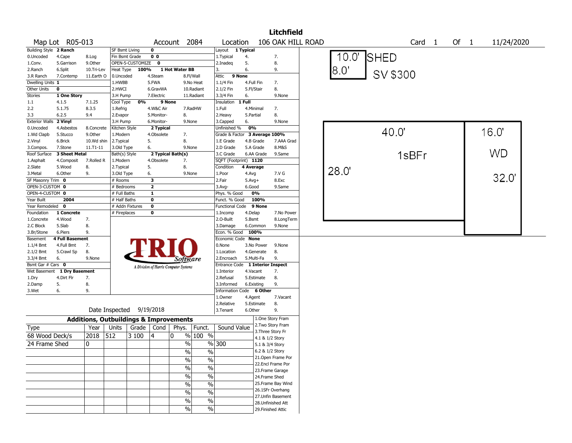|                                  |                        |                                                   |                         |                    |                         |                                       |               |                                  |            |                        | <b>Litchfield</b>   |             |      |          |                   |        |           |            |  |
|----------------------------------|------------------------|---------------------------------------------------|-------------------------|--------------------|-------------------------|---------------------------------------|---------------|----------------------------------|------------|------------------------|---------------------|-------------|------|----------|-------------------|--------|-----------|------------|--|
| Map Lot R05-013                  |                        |                                                   |                         |                    |                         | Account 2084                          |               | Location                         |            |                        | 106 OAK HILL ROAD   |             |      |          | Card <sub>1</sub> | Of $1$ |           | 11/24/2020 |  |
| Building Style 2 Ranch           |                        |                                                   | SF Bsmt Living          |                    | 0                       |                                       |               | Layout 1 Typical                 |            |                        |                     |             |      |          |                   |        |           |            |  |
| 0.Uncoded<br>4.Cape              |                        | 8.Log                                             | Fin Bsmt Grade          |                    | 0 <sub>0</sub>          |                                       |               | 1.Typical                        | 4.         |                        | 7.                  | 10.0'       | SHED |          |                   |        |           |            |  |
| 1.Conv.                          | 5.Garrison             | 9.0ther                                           |                         | OPEN-5-CUSTOMIZE 0 |                         |                                       |               | 2.Inadeq                         | 5.         |                        | 8.                  |             |      |          |                   |        |           |            |  |
| 2.Ranch<br>6.Split               |                        | 10.Tri-Lev                                        | Heat Type               | 100%               |                         | 1 Hot Water BB                        |               | 3.                               | 6.         |                        | 9.                  | $8.0^\circ$ |      |          |                   |        |           |            |  |
| 3.R Ranch                        | 7.Contemp              | 11.Earth O                                        | 0.Uncoded               |                    | 4.Steam                 |                                       | 8.Fl/Wall     | Attic<br>9 None                  |            |                        |                     |             |      | SV \$300 |                   |        |           |            |  |
| Dwelling Units 1                 |                        |                                                   | 1.HWBB                  |                    | 5.FWA                   |                                       | 9.No Heat     | 1.1/4 Fin                        | 4.Full Fin |                        | 7.                  |             |      |          |                   |        |           |            |  |
| Other Units<br>$\mathbf 0$       |                        |                                                   | 2.HWCI                  |                    | 6.GravWA                |                                       | 10.Radiant    | 2.1/2 Fin                        | 5.Fl/Stair |                        | 8.                  |             |      |          |                   |        |           |            |  |
| <b>Stories</b>                   | 1 One Story            |                                                   | 3.H Pump                |                    | 7.Electric              |                                       | 11.Radiant    | 3.3/4 Fin                        | 6.         |                        | 9.None              |             |      |          |                   |        |           |            |  |
| 1.1<br>4.1.5                     |                        | 7.1.25                                            | Cool Type               | 0%                 |                         | 9 None                                |               | Insulation                       | $1$ Full   |                        |                     |             |      |          |                   |        |           |            |  |
| 2.2<br>5.1.75                    |                        | 8.3.5                                             | 1.Refrig                |                    | 4.W&C Air               |                                       | 7.RadHW       | 1.Full                           | 4.Minimal  |                        | 7.                  |             |      |          |                   |        |           |            |  |
| 6.2.5<br>3.3                     |                        | 9.4                                               | 2.Evapor                |                    | 5.Monitor-              | 8.                                    |               | 2. Heavy                         | 5.Partial  |                        | 8.                  |             |      |          |                   |        |           |            |  |
| <b>Exterior Walls</b><br>2 Vinyl |                        |                                                   | 3.H Pump                |                    | 6.Monitor-              | 9.None                                |               | 3.Capped                         | 6.         |                        | 9.None              |             |      |          |                   |        |           |            |  |
| 0.Uncoded                        | 4.Asbestos             | 8.Concrete<br>9.Other                             | Kitchen Style           |                    | 2 Typical               |                                       |               | Unfinished %                     | 0%         |                        |                     |             |      | 40.0     |                   |        | 16.0"     |            |  |
| 1.Wd Clapb<br>5.Stucco           |                        |                                                   | 1.Modern                |                    | 4.Obsolete<br>5.        | 7.<br>8.                              |               | Grade & Factor 3 Average 100%    |            |                        |                     |             |      |          |                   |        |           |            |  |
| 2.Vinyl<br>6.Brick<br>7.Stone    |                        | 10.Wd shin<br>$11.71 - 11$                        | 2.Typical<br>3.Old Type |                    | 6.                      | 9.None                                |               | 1.E Grade<br>2.D Grade           |            | 4.B Grade<br>5.A Grade | 7.AAA Grad<br>8.M&S |             |      |          |                   |        |           |            |  |
| 3.Compos.<br>Roof Surface        | 3 Sheet Metal          |                                                   | Bath(s) Style           |                    |                         | 2 Typical Bath(s)                     |               | 3.C Grade                        |            | 6.AA Grade             | 9.Same              |             |      |          |                   |        | <b>WD</b> |            |  |
| 1.Asphalt                        | 4.Composit             | 7.Rolled R                                        | 1.Modern                |                    | 4.Obsolete              | 7.                                    |               | SQFT (Footprint) 1120            |            |                        |                     |             |      |          | 1sBFr             |        |           |            |  |
| 2.Slate<br>5.Wood                |                        | 8.                                                | 2. Typical              |                    | 5.                      | 8.                                    |               | Condition                        | 4 Average  |                        |                     |             |      |          |                   |        |           |            |  |
| 6.Other<br>3.Metal               |                        | 9.                                                | 3.Old Type              |                    | 6.                      | 9.None                                |               | 1.Poor                           | 4.Avg      |                        | 7.V G               | 28.0        |      |          |                   |        |           |            |  |
| SF Masonry Trim 0                |                        |                                                   | # Rooms                 |                    | 3                       |                                       |               | 2.Fair                           | $5.Avg+$   |                        | 8.Exc               |             |      |          |                   |        | 32.0'     |            |  |
| OPEN-3-CUSTOM 0                  |                        |                                                   | # Bedrooms              |                    | $\overline{\mathbf{2}}$ |                                       |               | 3.Avg-                           | 6.Good     |                        | 9.Same              |             |      |          |                   |        |           |            |  |
| OPEN-4-CUSTOM 0                  |                        |                                                   | $#$ Full Baths          |                    | $\overline{\mathbf{1}}$ |                                       |               | Phys. % Good                     |            | 0%                     |                     |             |      |          |                   |        |           |            |  |
| Year Built                       | 2004                   |                                                   | # Half Baths            |                    | 0                       |                                       |               | Funct. % Good                    |            | 100%                   |                     |             |      |          |                   |        |           |            |  |
| Year Remodeled 0                 |                        |                                                   | # Addn Fixtures         |                    | 0                       |                                       |               | Functional Code 9 None           |            |                        |                     |             |      |          |                   |        |           |            |  |
| Foundation                       | 1 Concrete             |                                                   | # Fireplaces            |                    | 0                       |                                       |               | 1.Incomp                         | 4.Delap    |                        | 7.No Power          |             |      |          |                   |        |           |            |  |
| 1.Concrete<br>4.Wood             |                        | 7.                                                |                         |                    |                         |                                       |               | 2.0-Built                        | 5.Bsmt     |                        | 8.LongTerm          |             |      |          |                   |        |           |            |  |
| 5.Slab<br>2.C Block              |                        | 8.                                                |                         |                    |                         |                                       |               | 3.Damage                         |            | 6.Common               | 9.None              |             |      |          |                   |        |           |            |  |
| 3.Br/Stone<br>6.Piers            |                        | 9.                                                |                         |                    |                         |                                       |               | Econ. % Good                     | 100%       |                        |                     |             |      |          |                   |        |           |            |  |
| Basement                         | <b>4 Full Basement</b> |                                                   |                         |                    |                         |                                       |               | Economic Code None               |            |                        |                     |             |      |          |                   |        |           |            |  |
| 1.1/4 Bmt                        | 4.Full Bmt             | 7.                                                |                         |                    |                         |                                       |               | 0.None                           |            | 3.No Power             | 9.None              |             |      |          |                   |        |           |            |  |
| 2.1/2 Bmt                        | 5.Crawl Sp             | 8.                                                |                         |                    |                         |                                       |               | 1.Location                       |            | 4.Generate             | 8.                  |             |      |          |                   |        |           |            |  |
| 3.3/4 Bmt<br>6.                  |                        | 9.None                                            |                         |                    |                         | Software                              |               | 2.Encroach                       |            | 5.Multi-Fa             | 9.                  |             |      |          |                   |        |           |            |  |
| Bsmt Gar # Cars 0                |                        |                                                   |                         |                    |                         | A Division of Harris Computer Systems |               | Entrance Code 1 Interior Inspect |            |                        |                     |             |      |          |                   |        |           |            |  |
| Wet Basement 1 Dry Basement      |                        |                                                   |                         |                    |                         |                                       |               | 1.Interior                       | 4.Vacant   |                        | 7.<br>8.            |             |      |          |                   |        |           |            |  |
| 1.Dry                            | 4.Dirt Flr             | 7.<br>8.                                          |                         |                    |                         |                                       |               | 2.Refusal<br>3.Informed          |            | 5.Estimate             | 9.                  |             |      |          |                   |        |           |            |  |
| 2.Damp<br>5.<br>3.Wet<br>6.      |                        | 9.                                                |                         |                    |                         |                                       |               | <b>Information Code</b>          |            | 6.Existing<br>6 Other  |                     |             |      |          |                   |        |           |            |  |
|                                  |                        |                                                   |                         |                    |                         |                                       |               | 1.Owner                          | 4.Agent    |                        | 7.Vacant            |             |      |          |                   |        |           |            |  |
|                                  |                        |                                                   |                         |                    |                         |                                       |               | 2.Relative                       |            | 5.Estimate             | 8.                  |             |      |          |                   |        |           |            |  |
|                                  |                        | Date Inspected 9/19/2018                          |                         |                    |                         |                                       |               | 3.Tenant                         | 6.Other    |                        | 9.                  |             |      |          |                   |        |           |            |  |
|                                  |                        | <b>Additions, Outbuildings &amp; Improvements</b> |                         |                    |                         |                                       |               |                                  |            |                        | 1.One Story Fram    |             |      |          |                   |        |           |            |  |
|                                  |                        | Year                                              | Units                   | Grade              | Cond                    | Phys.                                 | Funct.        | Sound Value                      |            |                        | 2. Two Story Fram   |             |      |          |                   |        |           |            |  |
| Type                             |                        |                                                   |                         |                    |                         |                                       |               |                                  |            |                        | 3. Three Story Fr   |             |      |          |                   |        |           |            |  |
| 68 Wood Deck/s                   |                        | 2018                                              | 512                     | 3 100              | 14                      | 0                                     | % 100 %       |                                  |            |                        | 4.1 & 1/2 Story     |             |      |          |                   |        |           |            |  |
| 24 Frame Shed                    |                        | 0                                                 |                         |                    |                         | %                                     |               | % 300                            |            |                        | 5.1 & 3/4 Story     |             |      |          |                   |        |           |            |  |
|                                  |                        |                                                   |                         |                    |                         | $\sqrt{6}$                            | $\sqrt{6}$    |                                  |            |                        | 6.2 & 1/2 Story     |             |      |          |                   |        |           |            |  |
|                                  |                        |                                                   |                         |                    |                         | $\frac{9}{6}$                         | $\frac{0}{0}$ |                                  |            |                        | 21. Open Frame Por  |             |      |          |                   |        |           |            |  |
|                                  |                        |                                                   |                         |                    |                         | $\sqrt{6}$                            | $\frac{0}{0}$ |                                  |            |                        | 22.Encl Frame Por   |             |      |          |                   |        |           |            |  |
|                                  |                        |                                                   |                         |                    |                         |                                       |               |                                  |            |                        | 23. Frame Garage    |             |      |          |                   |        |           |            |  |
|                                  |                        |                                                   |                         |                    |                         | $\sqrt{6}$                            | $\%$          |                                  |            |                        | 24.Frame Shed       |             |      |          |                   |        |           |            |  |
|                                  |                        |                                                   |                         |                    |                         | $\%$                                  | $\%$          |                                  |            |                        | 25. Frame Bay Wind  |             |      |          |                   |        |           |            |  |
|                                  |                        |                                                   |                         |                    |                         | $\sqrt{6}$                            | $\%$          |                                  |            |                        | 26.1SFr Overhang    |             |      |          |                   |        |           |            |  |
|                                  |                        |                                                   |                         |                    |                         | $\sqrt{6}$                            | $\%$          |                                  |            |                        | 27.Unfin Basement   |             |      |          |                   |        |           |            |  |
|                                  |                        |                                                   |                         |                    |                         |                                       |               |                                  |            |                        | 28.Unfinished Att   |             |      |          |                   |        |           |            |  |
|                                  |                        |                                                   |                         |                    |                         | %                                     | $\%$          |                                  |            |                        | 29. Finished Attic  |             |      |          |                   |        |           |            |  |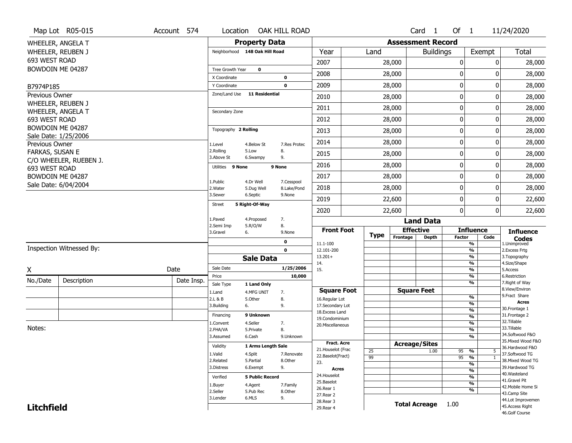|                        | Map Lot R05-015          | Account 574 | Location                       |                         | OAK HILL ROAD             |                                      |                 |                          | Card <sub>1</sub>    | Of 1          |                                           | 11/24/2020                            |
|------------------------|--------------------------|-------------|--------------------------------|-------------------------|---------------------------|--------------------------------------|-----------------|--------------------------|----------------------|---------------|-------------------------------------------|---------------------------------------|
|                        | WHEELER, ANGELA T        |             |                                | <b>Property Data</b>    |                           |                                      |                 | <b>Assessment Record</b> |                      |               |                                           |                                       |
|                        | WHEELER, REUBEN J        |             | Neighborhood 148 Oak Hill Road |                         |                           | Year                                 | Land            |                          | <b>Buildings</b>     |               | Exempt                                    | Total                                 |
| 693 WEST ROAD          |                          |             |                                |                         |                           | 2007                                 |                 | 28,000                   |                      | 0             | 0                                         | 28,000                                |
|                        | BOWDOIN ME 04287         |             | Tree Growth Year               | $\mathbf 0$             |                           | 2008                                 |                 | 28,000                   |                      | 0             | 0                                         | 28,000                                |
|                        |                          |             | X Coordinate                   |                         | 0                         |                                      |                 |                          |                      |               |                                           |                                       |
| B7974P185              |                          |             | Y Coordinate<br>Zone/Land Use  | <b>11 Residential</b>   | $\mathbf 0$               | 2009                                 |                 | 28,000                   |                      | $\mathbf 0$   | 0                                         | 28,000                                |
| Previous Owner         | WHEELER, REUBEN J        |             |                                |                         |                           | 2010                                 |                 | 28,000                   |                      | $\mathbf 0$   | 0                                         | 28,000                                |
|                        | WHEELER, ANGELA T        |             | Secondary Zone                 |                         |                           | 2011                                 |                 | 28,000                   |                      | $\mathbf 0$   | 0                                         | 28,000                                |
| 693 WEST ROAD          |                          |             |                                |                         |                           | 2012                                 |                 | 28,000                   |                      | $\mathbf 0$   | 0                                         | 28,000                                |
|                        | BOWDOIN ME 04287         |             | Topography 2 Rolling           |                         |                           | 2013                                 |                 | 28,000                   |                      | $\mathbf 0$   | 0                                         | 28,000                                |
| Previous Owner         | Sale Date: 1/25/2006     |             | 1.Level                        | 4.Below St              | 7.Res Protec              | 2014                                 |                 | 28,000                   |                      | $\mathbf 0$   | 0                                         | 28,000                                |
| <b>FARKAS, SUSAN E</b> |                          |             | 2.Rolling<br>3.Above St        | 5.Low<br>6.Swampy       | 8.<br>9.                  | 2015                                 |                 | 28,000                   |                      | 0             | 0                                         | 28,000                                |
| 693 WEST ROAD          | C/O WHEELER, RUEBEN J.   |             | Utilities 9 None               |                         | 9 None                    | 2016                                 |                 | 28,000                   |                      | $\mathbf 0$   | 0                                         | 28,000                                |
|                        | BOWDOIN ME 04287         |             |                                |                         |                           | 2017                                 |                 | 28,000                   |                      | $\mathbf 0$   | 0                                         | 28,000                                |
|                        | Sale Date: 6/04/2004     |             | 1.Public<br>2. Water           | 4.Dr Well<br>5.Dug Well | 7.Cesspool<br>8.Lake/Pond | 2018                                 |                 | 28,000                   |                      | $\mathbf 0$   | 0                                         | 28,000                                |
|                        |                          |             | 3.Sewer                        | 6.Septic                | 9.None                    | 2019                                 |                 | 22,600                   |                      | $\mathbf 0$   | 0                                         | 22,600                                |
|                        |                          |             | <b>Street</b>                  | 5 Right-Of-Way          |                           | 2020                                 |                 | 22,600                   |                      | $\mathbf{0}$  | 0                                         | 22,600                                |
|                        |                          |             | 1.Paved                        | 4.Proposed              | 7.                        |                                      |                 |                          | <b>Land Data</b>     |               |                                           |                                       |
|                        |                          |             |                                |                         |                           |                                      |                 |                          |                      |               |                                           |                                       |
|                        |                          |             | 2.Semi Imp<br>3.Gravel         | 5.R/O/W<br>6.           | 8.<br>9.None              | <b>Front Foot</b>                    |                 | <b>Effective</b>         |                      |               | <b>Influence</b>                          | <b>Influence</b>                      |
|                        |                          |             |                                |                         | 0                         |                                      | <b>Type</b>     | Frontage                 | <b>Depth</b>         | <b>Factor</b> | Code                                      | <b>Codes</b>                          |
|                        | Inspection Witnessed By: |             |                                |                         | $\mathbf 0$               | 11.1-100<br>12.101-200               |                 |                          |                      |               | $\overline{\frac{9}{6}}$<br>$\frac{9}{6}$ | 1.Unimproved<br>2.Excess Frtg         |
|                        |                          |             |                                | <b>Sale Data</b>        |                           | $13.201+$                            |                 |                          |                      |               | $\frac{9}{6}$                             | 3. Topography                         |
|                        |                          | Date        | Sale Date                      |                         | 1/25/2006                 | 14.<br>15.                           |                 |                          |                      |               | $\frac{9}{6}$<br>$\frac{9}{6}$            | 4.Size/Shape<br>5.Access              |
| Χ                      |                          |             | Price                          |                         | 10,000                    |                                      |                 |                          |                      |               | $\frac{9}{6}$                             | 6.Restriction                         |
| No./Date               | Description              | Date Insp.  | Sale Type                      | 1 Land Only             |                           |                                      |                 |                          |                      |               | $\overline{\frac{9}{6}}$                  | 7. Right of Way<br>8.View/Environ     |
|                        |                          |             | 1.Land<br>2.L & B              | 4.MFG UNIT<br>5.Other   | 7.<br>8.                  | <b>Square Foot</b><br>16.Regular Lot |                 |                          | <b>Square Feet</b>   |               | $\frac{9}{6}$                             | 9.Fract Share                         |
|                        |                          |             | 3.Building                     | 6.                      | 9.                        | 17.Secondary Lot                     |                 |                          |                      |               | %                                         | <b>Acres</b>                          |
|                        |                          |             | Financing                      | 9 Unknown               |                           | 18. Excess Land                      |                 |                          |                      |               | %<br>%                                    | 30. Frontage 1<br>31. Frontage 2      |
|                        |                          |             | 1.Convent                      | 4.Seller                | 7.                        | 19.Condominium<br>20.Miscellaneous   |                 |                          |                      |               | %                                         | 32. Tillable                          |
| Notes:                 |                          |             | 2.FHA/VA                       | 5.Private               | 8.                        |                                      |                 |                          |                      |               | %                                         | 33.Tillable                           |
|                        |                          |             | 3.Assumed                      | 6.Cash                  | 9.Unknown                 |                                      |                 |                          |                      |               | %                                         | 34.Softwood F&O<br>35. Mixed Wood F&O |
|                        |                          |             | Validity                       | 1 Arms Length Sale      |                           | <b>Fract. Acre</b>                   |                 | <b>Acreage/Sites</b>     |                      |               |                                           | 36.Hardwood F&O                       |
|                        |                          |             | 1.Valid                        | 4.Split                 | 7.Renovate                | 21. Houselot (Frac                   | 25              |                          | 1.00                 | 95 %          | 5                                         | 37.Softwood TG                        |
|                        |                          |             | 2.Related                      | 5.Partial               | 8.Other                   | 22.Baselot(Fract)<br>23.             | $\overline{99}$ |                          |                      | $95 - 9$      | $\mathbf{1}$                              | 38. Mixed Wood TG                     |
|                        |                          |             | 3.Distress                     | 6.Exempt                | 9.                        | Acres                                |                 |                          |                      |               | %<br>$\overline{\frac{9}{6}}$             | 39.Hardwood TG                        |
|                        |                          |             | Verified                       | <b>5 Public Record</b>  |                           | 24. Houselot                         |                 |                          |                      |               | %                                         | 40. Wasteland                         |
|                        |                          |             | 1.Buyer                        | 4.Agent                 | 7.Family                  | 25.Baselot                           |                 |                          |                      |               | $\overline{\frac{9}{6}}$                  | 41.Gravel Pit                         |
|                        |                          |             | 2.Seller                       | 5.Pub Rec               | 8.Other                   | 26.Rear 1                            |                 |                          |                      |               | %                                         | 42. Mobile Home Si<br>43.Camp Site    |
|                        |                          |             | 3.Lender                       | 6.MLS                   | 9.                        | 27.Rear 2<br>28. Rear 3              |                 |                          |                      |               |                                           | 44.Lot Improvemen                     |
| <b>Litchfield</b>      |                          |             |                                |                         |                           | 29. Rear 4                           |                 |                          | <b>Total Acreage</b> | 1.00          |                                           | 45.Access Right<br>46.Golf Course     |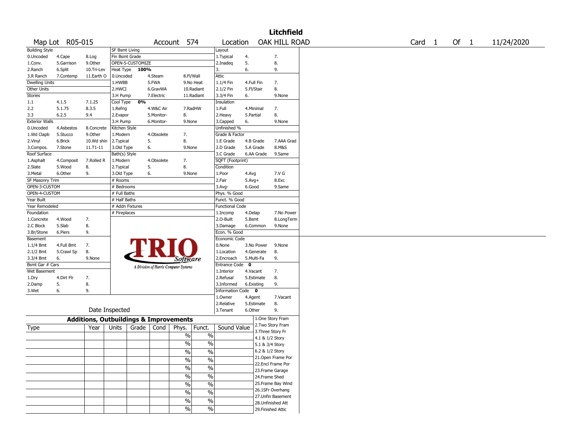|                       |                 |                                                   |                 |                  |            |                                       |               |                        |            |                 | <b>Litchfield</b>  |                   |      |            |
|-----------------------|-----------------|---------------------------------------------------|-----------------|------------------|------------|---------------------------------------|---------------|------------------------|------------|-----------------|--------------------|-------------------|------|------------|
|                       | Map Lot R05-015 |                                                   |                 |                  | Account    | 574                                   |               | Location               |            |                 | OAK HILL ROAD      | Card <sub>1</sub> | Of 1 | 11/24/2020 |
| <b>Building Style</b> |                 |                                                   | SF Bsmt Living  |                  |            |                                       |               | Layout                 |            |                 |                    |                   |      |            |
| 0.Uncoded             | 4.Cape          | 8.Log                                             | Fin Bsmt Grade  |                  |            |                                       |               | 1. Typical             | 4.         |                 | 7.                 |                   |      |            |
| 1.Conv.               | 5.Garrison      | 9.0ther                                           |                 | OPEN-5-CUSTOMIZE |            |                                       |               | 2.Inadeg               | 5.         |                 | 8.                 |                   |      |            |
| 2.Ranch               | 6.Split         | 10.Tri-Lev                                        | Heat Type       | 100%             |            |                                       |               | 3.                     | 6.         |                 | 9.                 |                   |      |            |
| 3.R Ranch             | 7.Contemp       | 11.Earth O                                        | 0.Uncoded       |                  | 4.Steam    | 8.Fl/Wall                             |               | Attic                  |            |                 |                    |                   |      |            |
| Dwelling Units        |                 |                                                   | 1.HWBB          |                  | 5.FWA      |                                       | 9.No Heat     | 1.1/4 Fin              | 4.Full Fin |                 | 7.                 |                   |      |            |
| Other Units           |                 |                                                   | 2.HWCI          |                  | 6.GravWA   |                                       | 10.Radiant    | 2.1/2 Fin              | 5.Fl/Stair |                 | 8.                 |                   |      |            |
| Stories               |                 |                                                   | 3.H Pump        |                  | 7.Electric |                                       | 11.Radiant    | 3.3/4 Fin              | 6.         |                 | 9.None             |                   |      |            |
| 1.1                   | 4.1.5           | 7.1.25                                            | Cool Type       | 0%               |            |                                       |               | Insulation             |            |                 |                    |                   |      |            |
| 2.2                   | 5.1.75          | 8.3.5                                             | 1.Refrig        |                  | 4.W&C Air  | 7.RadHW                               |               | 1.Full                 |            | 4.Minimal       | 7.                 |                   |      |            |
| 3.3                   | 6.2.5           | 9.4                                               | 2.Evapor        |                  | 5.Monitor- | 8.                                    |               | 2.Heavy                | 5.Partial  |                 | 8.                 |                   |      |            |
| <b>Exterior Walls</b> |                 |                                                   | 3.H Pump        |                  | 6.Monitor- | 9.None                                |               | 3.Capped               | 6.         |                 | 9.None             |                   |      |            |
| 0.Uncoded             | 4.Asbestos      | 8.Concrete                                        | Kitchen Style   |                  |            |                                       |               | Unfinished %           |            |                 |                    |                   |      |            |
| 1.Wd Clapb            | 5.Stucco        | 9.Other                                           | 1.Modern        |                  | 4.Obsolete | 7.                                    |               | Grade & Factor         |            |                 |                    |                   |      |            |
| 2.Vinyl               | 6.Brick         | 10.Wd shin                                        | 2.Typical       |                  | 5.         | 8.                                    |               | 1.E Grade              |            | 4.B Grade       | 7.AAA Grad         |                   |      |            |
| 3.Compos.             | 7.Stone         | 11.T1-11                                          | 3.Old Type      | 6.               |            | 9.None                                |               | 2.D Grade              |            | 5.A Grade       | 8.M&S              |                   |      |            |
| Roof Surface          |                 |                                                   | Bath(s) Style   |                  |            |                                       |               | 3.C Grade              |            | 6.AA Grade      | 9.Same             |                   |      |            |
| 1.Asphalt             | 4.Composit      | 7.Rolled R                                        | 1.Modern        |                  | 4.Obsolete | 7.                                    |               | SQFT (Footprint)       |            |                 |                    |                   |      |            |
| 2.Slate               | 5.Wood          | 8.                                                | 2. Typical      | 5.               |            | 8.                                    |               | Condition              |            |                 |                    |                   |      |            |
| 3.Metal               | 6.Other         | 9.                                                | 3.Old Type      | 6.               |            | 9.None                                |               | 1.Poor                 | 4.Avg      |                 | 7.V G              |                   |      |            |
|                       |                 |                                                   |                 |                  |            |                                       |               | 2.Fair                 |            |                 | 8.Exc              |                   |      |            |
| SF Masonry Trim       |                 |                                                   | # Rooms         |                  |            |                                       |               |                        | $5.Avg+$   |                 |                    |                   |      |            |
| OPEN-3-CUSTOM         |                 |                                                   | # Bedrooms      |                  |            |                                       |               | 3.Avg-                 | 6.Good     |                 | 9.Same             |                   |      |            |
| OPEN-4-CUSTOM         |                 |                                                   | # Full Baths    |                  |            |                                       |               | Phys. % Good           |            |                 |                    |                   |      |            |
| Year Built            |                 |                                                   | # Half Baths    |                  |            |                                       |               | Funct. % Good          |            |                 |                    |                   |      |            |
| Year Remodeled        |                 |                                                   | # Addn Fixtures |                  |            |                                       |               | <b>Functional Code</b> |            |                 |                    |                   |      |            |
| Foundation            |                 |                                                   | # Fireplaces    |                  |            |                                       |               | 1.Incomp               | 4.Delap    |                 | 7.No Power         |                   |      |            |
| 1.Concrete            | 4.Wood          | 7.                                                |                 |                  |            |                                       |               | 2.O-Built              | 5.Bsmt     |                 | 8.LongTerm         |                   |      |            |
| 2.C Block             | 5.Slab          | 8.                                                |                 |                  |            |                                       |               | 3.Damage               |            | 6.Common        | 9.None             |                   |      |            |
| 3.Br/Stone            | 6.Piers         | 9.                                                |                 |                  |            |                                       |               | Econ. % Good           |            |                 |                    |                   |      |            |
| Basement              |                 |                                                   |                 |                  |            |                                       |               | Economic Code          |            |                 |                    |                   |      |            |
| 1.1/4 Bmt             | 4.Full Bmt      | 7.                                                |                 |                  |            |                                       |               | 0.None                 |            | 3.No Power      | 9.None             |                   |      |            |
| 2.1/2 Bmt             | 5.Crawl Sp      | 8.                                                |                 |                  |            |                                       |               | 1.Location             |            | 4.Generate      | 8.                 |                   |      |            |
| 3.3/4 Bmt             | 6.              | 9.None                                            |                 |                  |            | <i>Software</i>                       |               | 2.Encroach             |            | 5.Multi-Fa      | 9.                 |                   |      |            |
| Bsmt Gar # Cars       |                 |                                                   |                 |                  |            | A Division of Harris Computer Systems |               | Entrance Code 0        |            |                 |                    |                   |      |            |
| Wet Basement          |                 |                                                   |                 |                  |            |                                       |               | 1.Interior             | 4.Vacant   |                 | 7.                 |                   |      |            |
| 1.Dry                 | 4.Dirt Flr      | 7.                                                |                 |                  |            |                                       |               | 2.Refusal              |            | 5.Estimate      | 8.                 |                   |      |            |
| 2.Damp                | 5.              | 8.                                                |                 |                  |            |                                       |               | 3.Informed             | 6.Existing |                 | 9.                 |                   |      |            |
| 3.Wet                 | 6.              | 9.                                                |                 |                  |            |                                       |               | Information Code 0     |            |                 |                    |                   |      |            |
|                       |                 |                                                   |                 |                  |            |                                       |               | 1.Owner                | 4.Agent    |                 | 7.Vacant           |                   |      |            |
|                       |                 |                                                   |                 |                  |            |                                       |               | 2.Relative             |            | 5.Estimate      | 8.                 |                   |      |            |
|                       |                 | Date Inspected                                    |                 |                  |            |                                       |               | 3.Tenant               | 6.Other    |                 | 9.                 |                   |      |            |
|                       |                 |                                                   |                 |                  |            |                                       |               |                        |            |                 |                    |                   |      |            |
|                       |                 | <b>Additions, Outbuildings &amp; Improvements</b> |                 |                  |            |                                       |               |                        |            |                 | 1.One Story Fram   |                   |      |            |
| Type                  |                 | Year                                              | Units           | Grade            | Cond       | Phys.                                 | Funct.        | Sound Value            |            |                 | 2.Two Story Fram   |                   |      |            |
|                       |                 |                                                   |                 |                  |            | $\%$                                  | $\%$          |                        |            |                 | 3. Three Story Fr  |                   |      |            |
|                       |                 |                                                   |                 |                  |            |                                       |               |                        |            | 4.1 & 1/2 Story |                    |                   |      |            |
|                       |                 |                                                   |                 |                  |            | $\frac{0}{0}$                         | $\%$          |                        |            | 5.1 & 3/4 Story |                    |                   |      |            |
|                       |                 |                                                   |                 |                  |            | $\frac{1}{2}$                         | $\frac{0}{6}$ |                        |            |                 | 6.2 & 1/2 Story    |                   |      |            |
|                       |                 |                                                   |                 |                  |            | $\%$                                  | $\frac{0}{6}$ |                        |            |                 | 21.Open Frame Por  |                   |      |            |
|                       |                 |                                                   |                 |                  |            |                                       |               |                        |            |                 | 22.Encl Frame Por  |                   |      |            |
|                       |                 |                                                   |                 |                  |            | $\frac{0}{6}$                         | $\frac{0}{6}$ |                        |            |                 | 23. Frame Garage   |                   |      |            |
|                       |                 |                                                   |                 |                  |            | $\frac{1}{2}$                         | $\frac{0}{6}$ |                        |            | 24.Frame Shed   |                    |                   |      |            |
|                       |                 |                                                   |                 |                  |            | $\frac{0}{0}$                         | $\frac{1}{2}$ |                        |            |                 | 25. Frame Bay Wind |                   |      |            |
|                       |                 |                                                   |                 |                  |            |                                       |               |                        |            |                 | 26.1SFr Overhang   |                   |      |            |
|                       |                 |                                                   |                 |                  |            | $\%$                                  | $\frac{1}{2}$ |                        |            |                 | 27.Unfin Basement  |                   |      |            |
|                       |                 |                                                   |                 |                  |            | $\frac{1}{2}$                         | $\frac{0}{6}$ |                        |            |                 | 28. Unfinished Att |                   |      |            |
|                       |                 |                                                   |                 |                  |            | $\sqrt{6}$                            | $\frac{0}{6}$ |                        |            |                 |                    |                   |      |            |
|                       |                 |                                                   |                 |                  |            |                                       |               |                        |            |                 | 29. Finished Attic |                   |      |            |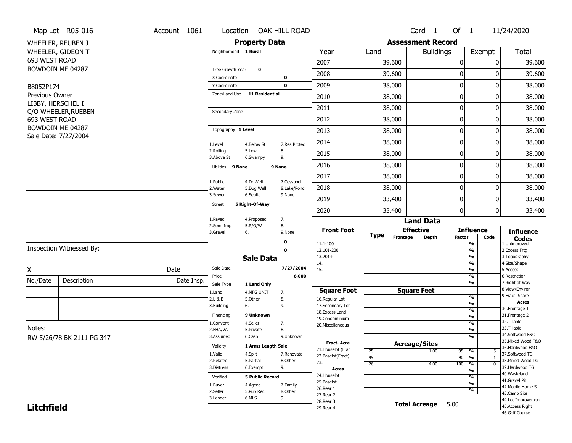|                                            | Map Lot R05-016           | Account 1061 | Location                      |                           | OAK HILL ROAD             |                                     |                 |                          | Card <sub>1</sub> | Of $1$           |                                           | 11/24/2020                         |
|--------------------------------------------|---------------------------|--------------|-------------------------------|---------------------------|---------------------------|-------------------------------------|-----------------|--------------------------|-------------------|------------------|-------------------------------------------|------------------------------------|
|                                            | WHEELER, REUBEN J         |              |                               | <b>Property Data</b>      |                           |                                     |                 | <b>Assessment Record</b> |                   |                  |                                           |                                    |
|                                            | WHEELER, GIDEON T         |              | Neighborhood 1 Rural          |                           |                           | Year                                | Land            |                          | <b>Buildings</b>  |                  | Exempt                                    | Total                              |
| 693 WEST ROAD                              |                           |              |                               |                           |                           | 2007                                |                 | 39,600                   |                   | 0                | 0                                         | 39,600                             |
|                                            | BOWDOIN ME 04287          |              | Tree Growth Year              | $\mathbf 0$               |                           | 2008                                |                 | 39,600                   |                   | 0                | ŋ                                         | 39,600                             |
|                                            |                           |              | X Coordinate                  |                           | 0                         |                                     |                 |                          |                   |                  |                                           |                                    |
| B8052P174                                  |                           |              | Y Coordinate<br>Zone/Land Use | <b>11 Residential</b>     | $\mathbf 0$               | 2009                                |                 | 38,000                   |                   | $\mathbf 0$      | 0                                         | 38,000                             |
| <b>Previous Owner</b><br>LIBBY, HERSCHEL I |                           |              |                               |                           |                           | 2010                                |                 | 38,000                   |                   | $\boldsymbol{0}$ | 0                                         | 38,000                             |
|                                            | C/O WHEELER, RUEBEN       |              | Secondary Zone                |                           |                           | 2011                                |                 | 38,000                   |                   | $\mathbf 0$      | 0                                         | 38,000                             |
| 693 WEST ROAD                              |                           |              |                               |                           |                           | 2012                                |                 | 38,000                   |                   | $\mathbf 0$      | 0                                         | 38,000                             |
|                                            | BOWDOIN ME 04287          |              | Topography 1 Level            |                           |                           | 2013                                |                 | 38,000                   |                   | $\boldsymbol{0}$ | 0                                         | 38,000                             |
|                                            | Sale Date: 7/27/2004      |              | 1.Level                       | 4.Below St                | 7.Res Protec              | 2014                                |                 | 38,000                   |                   | $\mathbf 0$      | 0                                         | 38,000                             |
|                                            |                           |              | 2.Rolling<br>3.Above St       | 5.Low<br>6.Swampy         | 8.<br>9.                  | 2015                                |                 | 38,000                   |                   | 0                | 0                                         | 38,000                             |
|                                            |                           |              | Utilities 9 None              |                           | 9 None                    | 2016                                |                 | 38,000                   |                   | $\mathbf 0$      | 0                                         | 38,000                             |
|                                            |                           |              |                               |                           |                           | 2017                                |                 | 38,000                   |                   | $\mathbf 0$      | 0                                         | 38,000                             |
|                                            |                           |              | 1.Public<br>2. Water          | 4.Dr Well<br>5.Dug Well   | 7.Cesspool<br>8.Lake/Pond | 2018                                |                 | 38,000                   |                   | $\mathbf 0$      | 0                                         | 38,000                             |
|                                            |                           |              | 3.Sewer                       | 6.Septic                  | 9.None                    | 2019                                |                 | 33,400                   |                   | $\mathbf 0$      | 0                                         | 33,400                             |
|                                            |                           |              | <b>Street</b>                 | 5 Right-Of-Way            |                           | 2020                                |                 | 33,400                   |                   | $\mathbf{0}$     | 0                                         | 33,400                             |
|                                            |                           |              | 1.Paved                       | 4.Proposed                | 7.                        |                                     |                 |                          | <b>Land Data</b>  |                  |                                           |                                    |
|                                            |                           |              | 2.Semi Imp<br>3.Gravel<br>6.  | 5.R/O/W                   | 8.<br>9.None              | <b>Front Foot</b>                   |                 | <b>Effective</b>         |                   |                  | <b>Influence</b>                          | <b>Influence</b>                   |
|                                            |                           |              |                               |                           | 0                         | 11.1-100                            | Type            | Frontage                 | <b>Depth</b>      | <b>Factor</b>    | Code<br>$\overline{\frac{9}{6}}$          | <b>Codes</b><br>1.Unimproved       |
|                                            | Inspection Witnessed By:  |              |                               |                           | 0                         | 12.101-200                          |                 |                          |                   |                  | $\frac{9}{6}$                             | 2.Excess Frtg                      |
|                                            |                           |              |                               | <b>Sale Data</b>          |                           | $13.201+$<br>14.                    |                 |                          |                   |                  | $\overline{\frac{9}{6}}$<br>$\frac{9}{6}$ | 3. Topography<br>4.Size/Shape      |
| X                                          |                           | Date         | Sale Date                     |                           | 7/27/2004                 | 15.                                 |                 |                          |                   |                  | $\frac{9}{6}$                             | 5.Access                           |
| No./Date                                   | Description               | Date Insp.   | Price                         |                           | 6,000                     |                                     |                 |                          |                   |                  | $\frac{9}{6}$<br>$\overline{\frac{9}{6}}$ | 6.Restriction<br>7. Right of Way   |
|                                            |                           |              | Sale Type<br>1.Land           | 1 Land Only<br>4.MFG UNIT | 7.                        | <b>Square Foot</b>                  |                 | <b>Square Feet</b>       |                   |                  |                                           | 8.View/Environ                     |
|                                            |                           |              | 2.L & B                       | 5.Other                   | 8.                        | 16.Regular Lot                      |                 |                          |                   |                  | $\frac{9}{6}$                             | 9.Fract Share<br><b>Acres</b>      |
|                                            |                           |              | 3.Building<br>6.              |                           | 9.                        | 17.Secondary Lot<br>18. Excess Land |                 |                          |                   |                  | %<br>$\frac{9}{6}$                        | 30. Frontage 1                     |
|                                            |                           |              | Financing                     | 9 Unknown                 |                           | 19.Condominium                      |                 |                          |                   |                  | %                                         | 31. Frontage 2                     |
| Notes:                                     |                           |              | 1.Convent                     | 4.Seller                  | 7.                        | 20.Miscellaneous                    |                 |                          |                   |                  | %                                         | 32.Tillable<br>33.Tillable         |
|                                            |                           |              | 2.FHA/VA                      | 5.Private                 | 8.                        |                                     |                 |                          |                   |                  | $\frac{9}{6}$                             | 34.Softwood F&O                    |
|                                            | RW 5/26/78 BK 2111 PG 347 |              | 3.Assumed                     | 6.Cash                    | 9.Unknown                 | <b>Fract. Acre</b>                  |                 |                          |                   |                  | $\frac{9}{6}$                             | 35. Mixed Wood F&O                 |
|                                            |                           |              | Validity                      | 1 Arms Length Sale        |                           | 21. Houselot (Frac                  |                 | <b>Acreage/Sites</b>     |                   |                  |                                           | 36.Hardwood F&O                    |
|                                            |                           |              | 1.Valid                       | 4.Split                   | 7.Renovate                | 22.Baselot(Fract)                   | 25<br>99        |                          | 1.00              | 95<br>90         | %<br>5<br>%<br>$\mathbf{1}$               | 37.Softwood TG                     |
|                                            |                           |              | 2.Related                     | 5.Partial                 | 8.Other                   | 23.                                 | $\overline{26}$ |                          | 4.00              | 100              | $\frac{1}{\sqrt{6}}$<br>$\overline{0}$    | 38. Mixed Wood TG                  |
|                                            |                           |              |                               | 6.Exempt                  | 9.                        |                                     |                 |                          |                   |                  |                                           | 39.Hardwood TG                     |
|                                            |                           |              | 3.Distress                    |                           |                           | Acres                               |                 |                          |                   |                  | $\overline{\frac{9}{6}}$                  |                                    |
|                                            |                           |              | Verified                      | <b>5 Public Record</b>    |                           | 24. Houselot                        |                 |                          |                   |                  | %                                         | 40. Wasteland                      |
|                                            |                           |              | 1.Buyer                       | 4.Agent                   | 7.Family                  | 25.Baselot                          |                 |                          |                   |                  | $\overline{\frac{9}{6}}$                  | 41.Gravel Pit                      |
|                                            |                           |              | 2.Seller                      | 5.Pub Rec                 | 8.Other                   | 26.Rear 1                           |                 |                          |                   |                  | %                                         | 42. Mobile Home Si<br>43.Camp Site |
|                                            |                           |              | 3.Lender                      | 6.MLS                     | 9.                        | 27. Rear 2<br>28. Rear 3            |                 |                          |                   |                  |                                           | 44.Lot Improvemen                  |
| <b>Litchfield</b>                          |                           |              |                               |                           |                           | 29. Rear 4                          |                 | <b>Total Acreage</b>     |                   | 5.00             |                                           | 45.Access Right<br>46.Golf Course  |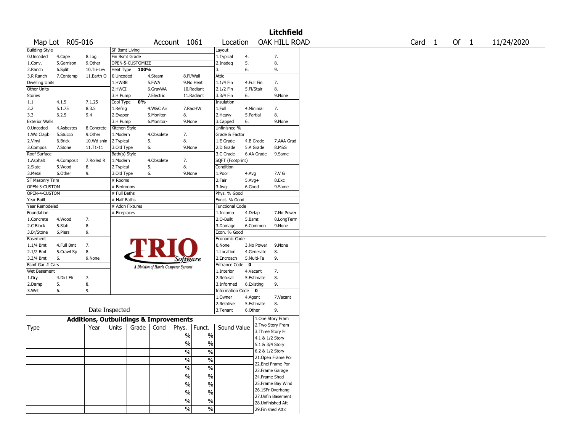|                       |                 |                                                   |                 |                  |            |                                       |               |                        |             |            | <b>Litchfield</b>                      |        |      |            |
|-----------------------|-----------------|---------------------------------------------------|-----------------|------------------|------------|---------------------------------------|---------------|------------------------|-------------|------------|----------------------------------------|--------|------|------------|
|                       | Map Lot R05-016 |                                                   |                 |                  |            | Account 1061                          |               | Location               |             |            | OAK HILL ROAD                          | Card 1 | Of 1 | 11/24/2020 |
| <b>Building Style</b> |                 |                                                   | SF Bsmt Living  |                  |            |                                       |               | Layout                 |             |            |                                        |        |      |            |
| 0.Uncoded             | 4.Cape          | 8.Log                                             | Fin Bsmt Grade  |                  |            |                                       |               | 1.Typical              | 4.          |            | 7.                                     |        |      |            |
| 1.Conv.               | 5.Garrison      | 9.0ther                                           |                 | OPEN-5-CUSTOMIZE |            |                                       |               | 2.Inadeq               | 5.          |            | 8.                                     |        |      |            |
| 2.Ranch               | 6.Split         | 10.Tri-Lev                                        | Heat Type       | 100%             |            |                                       |               | 3.                     | 6.          |            | 9.                                     |        |      |            |
| 3.R Ranch             | 7.Contemp       | 11.Earth O                                        | 0.Uncoded       |                  | 4.Steam    | 8.Fl/Wall                             |               | Attic                  |             |            |                                        |        |      |            |
| <b>Dwelling Units</b> |                 |                                                   | 1.HWBB          |                  | 5.FWA      | 9.No Heat                             |               | 1.1/4 Fin              | 4.Full Fin  |            | 7.                                     |        |      |            |
| Other Units           |                 |                                                   | 2.HWCI          |                  | 6.GravWA   | 10.Radiant                            |               | 2.1/2 Fin              | 5.Fl/Stair  |            | 8.                                     |        |      |            |
| <b>Stories</b>        |                 |                                                   | 3.H Pump        |                  | 7.Electric | 11.Radiant                            |               | 3.3/4 Fin              | 6.          |            | 9.None                                 |        |      |            |
| 1.1                   | 4.1.5           | 7.1.25                                            | Cool Type       | 0%               |            |                                       |               | Insulation             |             |            |                                        |        |      |            |
| 2.2                   | 5.1.75          | 8.3.5                                             | 1.Refrig        |                  | 4.W&C Air  | 7.RadHW                               |               | 1.Full                 | 4.Minimal   |            | 7.                                     |        |      |            |
| 3.3                   | 6.2.5           | 9.4                                               | 2.Evapor        |                  | 5.Monitor- | 8.                                    |               | 2. Heavy               | 5.Partial   |            | 8.                                     |        |      |            |
| <b>Exterior Walls</b> |                 |                                                   | 3.H Pump        |                  | 6.Monitor- | 9.None                                |               | 3.Capped               | 6.          |            | 9.None                                 |        |      |            |
| 0.Uncoded             | 4.Asbestos      | 8.Concrete                                        | Kitchen Style   |                  |            |                                       |               | Unfinished %           |             |            |                                        |        |      |            |
| 1.Wd Clapb            | 5.Stucco        | 9.0ther                                           | 1.Modern        |                  | 4.Obsolete | 7.                                    |               | Grade & Factor         |             |            |                                        |        |      |            |
| 2.Vinyl               | 6.Brick         | 10.Wd shin                                        | 2. Typical      | 5.               |            | 8.                                    |               | 1.E Grade              | 4.B Grade   |            | 7.AAA Grad                             |        |      |            |
| 3.Compos.             | 7.Stone         | $11.71 - 11$                                      | 3.Old Type      | 6.               |            | 9.None                                |               | 2.D Grade              |             | 5.A Grade  | 8.M&S                                  |        |      |            |
| Roof Surface          |                 |                                                   | Bath(s) Style   |                  |            |                                       |               | 3.C Grade              |             | 6.AA Grade | 9.Same                                 |        |      |            |
| 1.Asphalt             | 4.Composit      | 7.Rolled R                                        | 1.Modern        |                  | 4.Obsolete | 7.                                    |               | SQFT (Footprint)       |             |            |                                        |        |      |            |
| 2.Slate               | 5.Wood          | 8.                                                | 2. Typical      | 5.               |            | 8.                                    |               | Condition              |             |            |                                        |        |      |            |
| 3.Metal               | 6.Other         | 9.                                                | 3.Old Type      | 6.               |            | 9.None                                |               | 1.Poor                 | 4.Avg       |            | 7.V G                                  |        |      |            |
| SF Masonry Trim       |                 |                                                   | # Rooms         |                  |            |                                       |               | 2.Fair                 | $5.Avg+$    |            | 8.Exc                                  |        |      |            |
| OPEN-3-CUSTOM         |                 |                                                   | # Bedrooms      |                  |            |                                       |               | 3.Avg-                 | 6.Good      |            | 9.Same                                 |        |      |            |
| OPEN-4-CUSTOM         |                 |                                                   | # Full Baths    |                  |            |                                       |               | Phys. % Good           |             |            |                                        |        |      |            |
| Year Built            |                 |                                                   | # Half Baths    |                  |            |                                       |               | Funct. % Good          |             |            |                                        |        |      |            |
| Year Remodeled        |                 |                                                   | # Addn Fixtures |                  |            |                                       |               | <b>Functional Code</b> |             |            |                                        |        |      |            |
| Foundation            |                 |                                                   | # Fireplaces    |                  |            |                                       |               | 1.Incomp               | 4.Delap     |            | 7.No Power                             |        |      |            |
| 1.Concrete            | 4.Wood          | 7.                                                |                 |                  |            |                                       |               | 2.0-Built              | 5.Bsmt      |            | 8.LongTerm                             |        |      |            |
| 2.C Block             | 5.Slab          | 8.                                                |                 |                  |            |                                       |               | 3.Damage               |             | 6.Common   | 9.None                                 |        |      |            |
| 3.Br/Stone            | 6.Piers         | 9.                                                |                 |                  |            |                                       |               | Econ. % Good           |             |            |                                        |        |      |            |
| Basement              |                 |                                                   |                 |                  |            |                                       |               | Economic Code          |             |            |                                        |        |      |            |
| 1.1/4 Bmt             | 4.Full Bmt      | 7.                                                |                 |                  |            |                                       |               | 0.None                 |             | 3.No Power | 9.None                                 |        |      |            |
| 2.1/2 Bmt             | 5.Crawl Sp      | 8.                                                |                 |                  |            |                                       |               | 1.Location             |             | 4.Generate | 8.                                     |        |      |            |
| 3.3/4 Bmt             | 6.              | 9.None                                            |                 |                  |            |                                       |               | 2.Encroach             | 5.Multi-Fa  |            | 9.                                     |        |      |            |
| Bsmt Gar # Cars       |                 |                                                   |                 |                  |            | <i>Software</i>                       |               | <b>Entrance Code</b>   | $\mathbf 0$ |            |                                        |        |      |            |
| Wet Basement          |                 |                                                   |                 |                  |            | A Division of Harris Computer Systems |               | 1.Interior             | 4.Vacant    |            | 7.                                     |        |      |            |
| 1.Dry                 | 4.Dirt Flr      | 7.                                                |                 |                  |            |                                       |               | 2.Refusal              |             | 5.Estimate | 8.                                     |        |      |            |
|                       | 5.              | 8.                                                |                 |                  |            |                                       |               | 3.Informed             | 6.Existing  |            | 9.                                     |        |      |            |
| 2.Damp<br>3.Wet       | 6.              | 9.                                                |                 |                  |            |                                       |               | Information Code 0     |             |            |                                        |        |      |            |
|                       |                 |                                                   |                 |                  |            |                                       |               | 1.0wner                | 4.Agent     |            | 7.Vacant                               |        |      |            |
|                       |                 |                                                   |                 |                  |            |                                       |               | 2.Relative             |             | 5.Estimate | 8.                                     |        |      |            |
|                       |                 | Date Inspected                                    |                 |                  |            |                                       |               | 3.Tenant               | 6.Other     |            | 9.                                     |        |      |            |
|                       |                 |                                                   |                 |                  |            |                                       |               |                        |             |            |                                        |        |      |            |
|                       |                 | <b>Additions, Outbuildings &amp; Improvements</b> |                 |                  |            |                                       |               |                        |             |            | 1.One Story Fram<br>2. Two Story Fram  |        |      |            |
| Type                  |                 | Year                                              | Units           | Grade            | Cond       | Phys.                                 | Funct.        | Sound Value            |             |            | 3. Three Story Fr                      |        |      |            |
|                       |                 |                                                   |                 |                  |            | $\%$                                  | $\%$          |                        |             |            | 4.1 & 1/2 Story                        |        |      |            |
|                       |                 |                                                   |                 |                  |            | $\frac{0}{0}$                         | $\%$          |                        |             |            | 5.1 & 3/4 Story                        |        |      |            |
|                       |                 |                                                   |                 |                  |            |                                       |               |                        |             |            | 6.2 & 1/2 Story                        |        |      |            |
|                       |                 |                                                   |                 |                  |            | $\frac{9}{6}$                         | $\frac{1}{2}$ |                        |             |            |                                        |        |      |            |
|                       |                 |                                                   |                 |                  |            | %                                     | $\%$          |                        |             |            | 21.Open Frame Por<br>22.Encl Frame Por |        |      |            |
|                       |                 |                                                   |                 |                  |            | $\sqrt{6}$                            | $\%$          |                        |             |            |                                        |        |      |            |
|                       |                 |                                                   |                 |                  |            |                                       |               |                        |             |            | 23. Frame Garage                       |        |      |            |
|                       |                 |                                                   |                 |                  |            | $\sqrt{6}$                            | $\%$          |                        |             |            | 24.Frame Shed                          |        |      |            |
|                       |                 |                                                   |                 |                  |            | $\frac{0}{0}$                         | $\%$          |                        |             |            | 25. Frame Bay Wind                     |        |      |            |
|                       |                 |                                                   |                 |                  |            | $\%$                                  | $\%$          |                        |             |            | 26.1SFr Overhang                       |        |      |            |
|                       |                 |                                                   |                 |                  |            | $\sqrt{6}$                            | $\frac{1}{2}$ |                        |             |            | 27.Unfin Basement                      |        |      |            |
|                       |                 |                                                   |                 |                  |            |                                       |               |                        |             |            | 28.Unfinished Att                      |        |      |            |
|                       |                 |                                                   |                 |                  |            | $\sqrt{6}$                            | $\sqrt{6}$    |                        |             |            | 29. Finished Attic                     |        |      |            |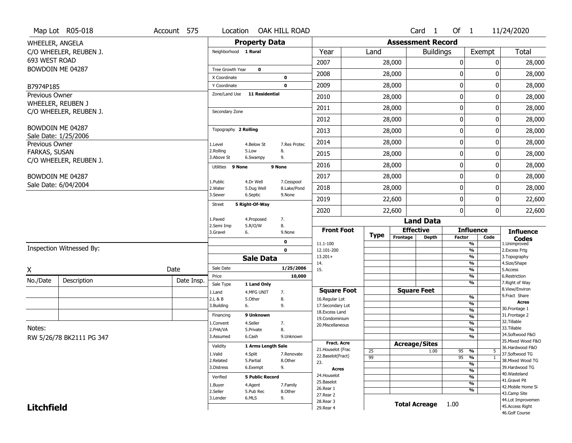|                   | Map Lot R05-018          | Account 575 | Location                      |                         | OAK HILL ROAD             |                                      |             |                          | Card 1           | Of $1$       |                                                      | 11/24/2020                        |
|-------------------|--------------------------|-------------|-------------------------------|-------------------------|---------------------------|--------------------------------------|-------------|--------------------------|------------------|--------------|------------------------------------------------------|-----------------------------------|
| WHEELER, ANGELA   |                          |             |                               | <b>Property Data</b>    |                           |                                      |             | <b>Assessment Record</b> |                  |              |                                                      |                                   |
|                   | C/O WHEELER, REUBEN J.   |             | Neighborhood 1 Rural          |                         |                           | Year                                 | Land        |                          | <b>Buildings</b> |              | Exempt                                               | Total                             |
| 693 WEST ROAD     |                          |             |                               |                         |                           | 2007                                 |             | 28,000                   |                  | 0            | 0                                                    | 28,000                            |
|                   | BOWDOIN ME 04287         |             | Tree Growth Year              | 0                       |                           | 2008                                 |             | 28,000                   |                  | 0            | ŋ                                                    | 28,000                            |
|                   |                          |             | X Coordinate                  |                         | 0                         |                                      |             |                          |                  |              |                                                      |                                   |
| B7974P185         |                          |             | Y Coordinate<br>Zone/Land Use | <b>11 Residential</b>   | $\mathbf 0$               | 2009                                 |             | 28,000                   |                  | 0            | 0                                                    | 28,000                            |
| Previous Owner    | WHEELER, REUBEN J        |             |                               |                         |                           | 2010                                 |             | 28,000                   |                  | 0            | 0                                                    | 28,000                            |
|                   | C/O WHEELER, REUBEN J.   |             | Secondary Zone                |                         |                           | 2011                                 |             | 28,000                   |                  | $\mathbf 0$  | 0                                                    | 28,000                            |
|                   |                          |             |                               |                         |                           | 2012                                 |             | 28,000                   |                  | 0            | 0                                                    | 28,000                            |
|                   | BOWDOIN ME 04287         |             | Topography 2 Rolling          |                         |                           | 2013                                 |             | 28,000                   |                  | 0            | 0                                                    | 28,000                            |
| Previous Owner    | Sale Date: 1/25/2006     |             | 1.Level                       | 4.Below St              | 7.Res Protec              | 2014                                 |             | 28,000                   |                  | 0            | 0                                                    | 28,000                            |
| FARKAS, SUSAN     |                          |             | 2.Rolling<br>3.Above St       | 5.Low<br>6.Swampy       | 8.<br>9.                  | 2015                                 |             | 28,000                   |                  | 0            | 0                                                    | 28,000                            |
|                   | C/O WHEELER, REUBEN J.   |             | Utilities 9 None              |                         | 9 None                    | 2016                                 |             | 28,000                   |                  | 0            | 0                                                    | 28,000                            |
|                   | BOWDOIN ME 04287         |             |                               |                         |                           | 2017                                 |             | 28,000                   |                  | 0            | 0                                                    | 28,000                            |
|                   | Sale Date: 6/04/2004     |             | 1.Public<br>2. Water          | 4.Dr Well<br>5.Dug Well | 7.Cesspool<br>8.Lake/Pond | 2018                                 |             | 28,000                   |                  | 0            | 0                                                    | 28,000                            |
|                   |                          |             | 3.Sewer                       | 6.Septic                | 9.None                    | 2019                                 |             | 22,600                   |                  | $\mathbf 0$  | 0                                                    | 22,600                            |
|                   |                          |             | <b>Street</b>                 | 5 Right-Of-Way          |                           | 2020                                 |             | 22,600                   |                  | $\mathbf{0}$ | 0                                                    | 22,600                            |
|                   |                          |             | 1.Paved                       | 4.Proposed              | 7.                        |                                      |             |                          | <b>Land Data</b> |              |                                                      |                                   |
|                   |                          |             | 2.Semi Imp<br>3.Gravel        | 5.R/O/W<br>6.           | 8.<br>9.None              | <b>Front Foot</b>                    |             | <b>Effective</b>         |                  |              | <b>Influence</b>                                     | <b>Influence</b>                  |
|                   |                          |             |                               |                         | 0                         |                                      | <b>Type</b> | Frontage                 | <b>Depth</b>     | Factor       | Code                                                 | <b>Codes</b>                      |
|                   | Inspection Witnessed By: |             |                               |                         | $\mathbf 0$               | 11.1-100<br>12.101-200               |             |                          |                  |              | %<br>$\frac{9}{6}$                                   | 1.Unimproved<br>2.Excess Frtg     |
|                   |                          |             |                               | <b>Sale Data</b>        |                           | $13.201+$                            |             |                          |                  |              | $\overline{\frac{9}{6}}$                             | 3. Topography                     |
| Χ                 |                          | Date        | Sale Date                     |                         | 1/25/2006                 | 14.<br>15.                           |             |                          |                  |              | %<br>$\overline{\frac{9}{6}}$                        | 4.Size/Shape<br>5.Access          |
| No./Date          | Description              | Date Insp.  | Price                         |                         | 10,000                    |                                      |             |                          |                  |              | %                                                    | 6.Restriction                     |
|                   |                          |             | Sale Type                     | 1 Land Only             |                           |                                      |             | <b>Square Feet</b>       |                  |              | %                                                    | 7. Right of Way<br>8.View/Environ |
|                   |                          |             | 1.Land<br>2.L & B             | 4.MFG UNIT<br>5.0ther   | 7.<br>8.                  | <b>Square Foot</b><br>16.Regular Lot |             |                          |                  |              | %                                                    | 9. Fract Share                    |
|                   |                          |             | 3.Building                    | 6.                      | 9.                        | 17.Secondary Lot                     |             |                          |                  |              | %                                                    | <b>Acres</b>                      |
|                   |                          |             | Financing                     | 9 Unknown               |                           | 18. Excess Land                      |             |                          |                  |              | %                                                    | 30. Frontage 1<br>31. Frontage 2  |
|                   |                          |             | 1.Convent                     | 4.Seller                | 7.                        | 19.Condominium                       |             |                          |                  |              | %<br>%                                               | 32.Tillable                       |
| Notes:            |                          |             | 2.FHA/VA                      | 5.Private               | 8.                        | 20. Miscellaneous                    |             |                          |                  |              | %                                                    | 33.Tillable                       |
|                   | RW 5/26/78 BK2111 PG 347 |             | 3.Assumed                     | 6.Cash                  | 9.Unknown                 |                                      |             |                          |                  |              | %                                                    | 34.Softwood F&O                   |
|                   |                          |             | Validity                      | 1 Arms Length Sale      |                           | <b>Fract. Acre</b>                   |             | <b>Acreage/Sites</b>     |                  |              |                                                      | 35. Mixed Wood F&O                |
|                   |                          |             | 1.Valid                       |                         | 7.Renovate                | 21. Houselot (Frac                   | 25          |                          | 1.00             | 95           | %<br>5                                               | 36.Hardwood F&O<br>37.Softwood TG |
|                   |                          |             | 2.Related                     | 4.Split<br>5.Partial    | 8.Other                   | 22.Baselot(Fract)                    | 99          |                          |                  | $95 - 9/6$   | $\overline{1}$                                       | 38. Mixed Wood TG                 |
|                   |                          |             | 3.Distress                    | 6.Exempt                | 9.                        | 23.                                  |             |                          |                  |              | $\overline{\frac{9}{6}}$                             | 39.Hardwood TG                    |
|                   |                          |             |                               |                         |                           | Acres<br>24. Houselot                |             |                          |                  |              | $\overline{\frac{9}{6}}$                             | 40. Wasteland                     |
|                   |                          |             | Verified                      | <b>5 Public Record</b>  |                           | 25.Baselot                           |             |                          |                  |              | $\overline{\frac{9}{6}}$<br>$\overline{\frac{9}{6}}$ | 41.Gravel Pit                     |
|                   |                          |             | 1.Buyer                       | 4.Agent                 | 7.Family                  | 26.Rear 1                            |             |                          |                  |              | %                                                    | 42. Mobile Home Si                |
|                   |                          |             | 2.Seller<br>3.Lender          | 5.Pub Rec<br>6.MLS      | 8.Other<br>9.             | 27.Rear 2                            |             |                          |                  |              |                                                      | 43.Camp Site                      |
| <b>Litchfield</b> |                          |             |                               |                         |                           |                                      |             |                          |                  |              |                                                      | 44.Lot Improvemen                 |
|                   |                          |             |                               |                         |                           | 28. Rear 3<br>29. Rear 4             |             | <b>Total Acreage</b>     |                  | 1.00         |                                                      | 45.Access Right                   |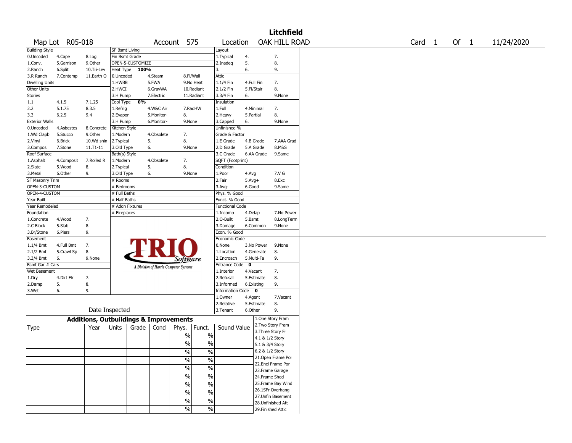|                       |                 |                                                   |                 |                  |            |                                       |               |                        |            |                 | <b>Litchfield</b>                    |                   |      |            |
|-----------------------|-----------------|---------------------------------------------------|-----------------|------------------|------------|---------------------------------------|---------------|------------------------|------------|-----------------|--------------------------------------|-------------------|------|------------|
|                       | Map Lot R05-018 |                                                   |                 |                  | Account    |                                       | 575           | Location               |            |                 | OAK HILL ROAD                        | Card <sub>1</sub> | Of 1 | 11/24/2020 |
| <b>Building Style</b> |                 |                                                   | SF Bsmt Living  |                  |            |                                       |               | Layout                 |            |                 |                                      |                   |      |            |
| 0.Uncoded             | 4.Cape          | 8.Log                                             | Fin Bsmt Grade  |                  |            |                                       |               | 1. Typical             | 4.         |                 | 7.                                   |                   |      |            |
| 1.Conv.               | 5.Garrison      | 9.0ther                                           |                 | OPEN-5-CUSTOMIZE |            |                                       |               | 2.Inadeg               | 5.         |                 | 8.                                   |                   |      |            |
| 2.Ranch               | 6.Split         | 10.Tri-Lev                                        | Heat Type       | 100%             |            |                                       |               | 3.                     | 6.         |                 | 9.                                   |                   |      |            |
| 3.R Ranch             | 7.Contemp       | 11.Earth O                                        | 0.Uncoded       |                  | 4.Steam    | 8.Fl/Wall                             |               | Attic                  |            |                 |                                      |                   |      |            |
| <b>Dwelling Units</b> |                 |                                                   | 1.HWBB          |                  | 5.FWA      |                                       | 9.No Heat     | 1.1/4 Fin              | 4.Full Fin |                 | 7.                                   |                   |      |            |
| Other Units           |                 |                                                   | 2.HWCI          |                  | 6.GravWA   |                                       | 10.Radiant    | 2.1/2 Fin              | 5.Fl/Stair |                 | 8.                                   |                   |      |            |
| Stories               |                 |                                                   | 3.H Pump        |                  | 7.Electric |                                       | 11.Radiant    | 3.3/4 Fin              | 6.         |                 | 9.None                               |                   |      |            |
| 1.1                   | 4.1.5           | 7.1.25                                            | Cool Type       | 0%               |            |                                       |               | Insulation             |            |                 |                                      |                   |      |            |
| 2.2                   | 5.1.75          | 8.3.5                                             | 1.Refrig        |                  | 4.W&C Air  | 7.RadHW                               |               | 1.Full                 |            | 4.Minimal       | 7.                                   |                   |      |            |
| 3.3                   | 6.2.5           | 9.4                                               | 2.Evapor        |                  | 5.Monitor- | 8.                                    |               | 2.Heavy                | 5.Partial  |                 | 8.                                   |                   |      |            |
| <b>Exterior Walls</b> |                 |                                                   | 3.H Pump        |                  | 6.Monitor- | 9.None                                |               | 3.Capped               | 6.         |                 | 9.None                               |                   |      |            |
| 0.Uncoded             | 4.Asbestos      | 8.Concrete                                        | Kitchen Style   |                  |            |                                       |               | Unfinished %           |            |                 |                                      |                   |      |            |
| 1.Wd Clapb            | 5.Stucco        | 9.Other                                           | 1.Modern        |                  | 4.Obsolete | 7.                                    |               | Grade & Factor         |            |                 |                                      |                   |      |            |
| 2.Vinyl               | 6.Brick         | 10.Wd shin                                        | 2.Typical       |                  | 5.         | 8.                                    |               | 1.E Grade              |            | 4.B Grade       | 7.AAA Grad                           |                   |      |            |
| 3.Compos.             | 7.Stone         | 11.T1-11                                          | 3.Old Type      |                  | 6.         | 9.None                                |               | 2.D Grade              |            | 5.A Grade       | 8.M&S                                |                   |      |            |
| Roof Surface          |                 |                                                   | Bath(s) Style   |                  |            |                                       |               | 3.C Grade              |            | 6.AA Grade      | 9.Same                               |                   |      |            |
| 1.Asphalt             | 4.Composit      | 7.Rolled R                                        | 1.Modern        |                  | 4.Obsolete | 7.                                    |               | SQFT (Footprint)       |            |                 |                                      |                   |      |            |
| 2.Slate               | 5.Wood          | 8.                                                | 2. Typical      | 5.               |            | 8.                                    |               | Condition              |            |                 |                                      |                   |      |            |
| 3. Metal              | 6.Other         | 9.                                                | 3.Old Type      |                  | 6.         | 9.None                                |               | 1.Poor                 | 4.Avg      |                 | 7.V G                                |                   |      |            |
| SF Masonry Trim       |                 |                                                   | # Rooms         |                  |            |                                       |               | 2.Fair                 | $5.Avg+$   |                 | 8.Exc                                |                   |      |            |
| OPEN-3-CUSTOM         |                 |                                                   | # Bedrooms      |                  |            |                                       |               | 3.Avg-                 | 6.Good     |                 | 9.Same                               |                   |      |            |
|                       |                 |                                                   |                 |                  |            |                                       |               |                        |            |                 |                                      |                   |      |            |
| OPEN-4-CUSTOM         |                 |                                                   | # Full Baths    |                  |            |                                       |               | Phys. % Good           |            |                 |                                      |                   |      |            |
| Year Built            |                 |                                                   | # Half Baths    |                  |            |                                       |               | Funct. % Good          |            |                 |                                      |                   |      |            |
| Year Remodeled        |                 |                                                   | # Addn Fixtures |                  |            |                                       |               | <b>Functional Code</b> |            |                 |                                      |                   |      |            |
| Foundation            |                 |                                                   | # Fireplaces    |                  |            |                                       |               | 1.Incomp               | 4.Delap    |                 | 7.No Power                           |                   |      |            |
| 1.Concrete            | 4.Wood          | 7.                                                |                 |                  |            |                                       |               | 2.O-Built              | 5.Bsmt     |                 | 8.LongTerm                           |                   |      |            |
| 2.C Block             | 5.Slab          | 8.                                                |                 |                  |            |                                       |               | 3.Damage               |            | 6.Common        | 9.None                               |                   |      |            |
| 3.Br/Stone            | 6.Piers         | 9.                                                |                 |                  |            |                                       |               | Econ. % Good           |            |                 |                                      |                   |      |            |
| Basement              |                 |                                                   |                 |                  |            |                                       |               | Economic Code          |            |                 |                                      |                   |      |            |
| 1.1/4 Bmt             | 4.Full Bmt      | 7.                                                |                 |                  |            |                                       |               | 0.None                 |            | 3.No Power      | 9.None                               |                   |      |            |
| 2.1/2 Bmt             | 5.Crawl Sp      | 8.                                                |                 |                  |            |                                       |               | 1.Location             |            | 4.Generate      | 8.                                   |                   |      |            |
| 3.3/4 Bmt             | 6.              | 9.None                                            |                 |                  |            | <i>Software</i>                       |               | 2.Encroach             |            | 5.Multi-Fa      | 9.                                   |                   |      |            |
| Bsmt Gar # Cars       |                 |                                                   |                 |                  |            | A Division of Harris Computer Systems |               | Entrance Code 0        |            |                 |                                      |                   |      |            |
| Wet Basement          |                 |                                                   |                 |                  |            |                                       |               | 1.Interior             | 4.Vacant   |                 | 7.                                   |                   |      |            |
| 1.Dry                 | 4.Dirt Flr      | 7.                                                |                 |                  |            |                                       |               | 2.Refusal              |            | 5.Estimate      | 8.                                   |                   |      |            |
| 2.Damp                | 5.              | 8.                                                |                 |                  |            |                                       |               | 3.Informed             | 6.Existing |                 | 9.                                   |                   |      |            |
| 3.Wet                 | 6.              | 9.                                                |                 |                  |            |                                       |               | Information Code 0     |            |                 |                                      |                   |      |            |
|                       |                 |                                                   |                 |                  |            |                                       |               | 1.Owner                | 4.Agent    |                 | 7.Vacant                             |                   |      |            |
|                       |                 |                                                   |                 |                  |            |                                       |               | 2.Relative             |            | 5.Estimate      | 8.                                   |                   |      |            |
|                       |                 | Date Inspected                                    |                 |                  |            |                                       |               | 3.Tenant               | 6.Other    |                 | 9.                                   |                   |      |            |
|                       |                 |                                                   |                 |                  |            |                                       |               |                        |            |                 |                                      |                   |      |            |
|                       |                 | <b>Additions, Outbuildings &amp; Improvements</b> |                 |                  |            |                                       |               |                        |            |                 | 1.One Story Fram<br>2.Two Story Fram |                   |      |            |
| Type                  |                 | Year                                              | Units           | Grade            | Cond       | Phys.                                 | Funct.        | Sound Value            |            |                 | 3. Three Story Fr                    |                   |      |            |
|                       |                 |                                                   |                 |                  |            | $\%$                                  | $\%$          |                        |            | 4.1 & 1/2 Story |                                      |                   |      |            |
|                       |                 |                                                   |                 |                  |            | $\frac{0}{0}$                         | $\%$          |                        |            |                 |                                      |                   |      |            |
|                       |                 |                                                   |                 |                  |            |                                       |               |                        |            | 5.1 & 3/4 Story |                                      |                   |      |            |
|                       |                 |                                                   |                 |                  |            | $\frac{1}{2}$                         | $\frac{0}{6}$ |                        |            |                 | 6.2 & 1/2 Story                      |                   |      |            |
|                       |                 |                                                   |                 |                  |            | $\%$                                  | $\frac{0}{6}$ |                        |            |                 | 21.Open Frame Por                    |                   |      |            |
|                       |                 |                                                   |                 |                  |            | $\frac{0}{6}$                         | $\frac{0}{6}$ |                        |            |                 | 22.Encl Frame Por                    |                   |      |            |
|                       |                 |                                                   |                 |                  |            |                                       |               |                        |            |                 | 23. Frame Garage                     |                   |      |            |
|                       |                 |                                                   |                 |                  |            | $\frac{1}{2}$                         | $\frac{0}{6}$ |                        |            | 24.Frame Shed   |                                      |                   |      |            |
|                       |                 |                                                   |                 |                  |            | $\frac{0}{0}$                         | $\frac{1}{2}$ |                        |            |                 | 25. Frame Bay Wind                   |                   |      |            |
|                       |                 |                                                   |                 |                  |            | $\%$                                  | $\frac{1}{2}$ |                        |            |                 | 26.1SFr Overhang                     |                   |      |            |
|                       |                 |                                                   |                 |                  |            |                                       |               |                        |            |                 | 27.Unfin Basement                    |                   |      |            |
|                       |                 |                                                   |                 |                  |            | $\frac{1}{2}$                         | $\frac{0}{6}$ |                        |            |                 | 28. Unfinished Att                   |                   |      |            |
|                       |                 |                                                   |                 |                  |            | $\sqrt{6}$                            | $\frac{0}{6}$ |                        |            |                 | 29. Finished Attic                   |                   |      |            |
|                       |                 |                                                   |                 |                  |            |                                       |               |                        |            |                 |                                      |                   |      |            |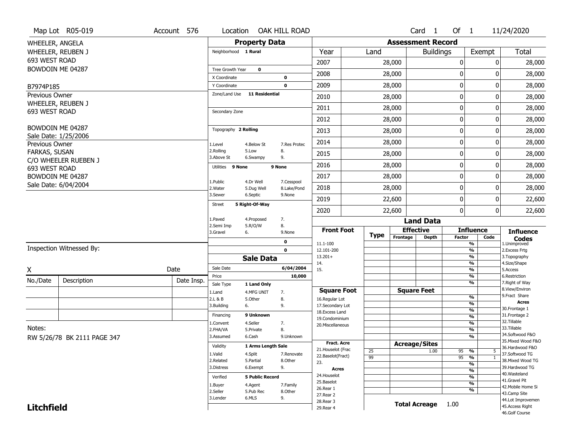|                      | Map Lot R05-019             | Account 576 | Location                      |                         | OAK HILL ROAD             |                                    |                 |                          | Card <sub>1</sub>    | Of 1             |                                           | 11/24/2020                           |
|----------------------|-----------------------------|-------------|-------------------------------|-------------------------|---------------------------|------------------------------------|-----------------|--------------------------|----------------------|------------------|-------------------------------------------|--------------------------------------|
| WHEELER, ANGELA      |                             |             |                               | <b>Property Data</b>    |                           |                                    |                 | <b>Assessment Record</b> |                      |                  |                                           |                                      |
|                      | WHEELER, REUBEN J           |             | Neighborhood 1 Rural          |                         |                           | Year                               | Land            |                          | <b>Buildings</b>     |                  | Exempt                                    | Total                                |
| 693 WEST ROAD        |                             |             |                               |                         |                           | 2007                               |                 | 28,000                   |                      | 0                | 0                                         | 28,000                               |
|                      | BOWDOIN ME 04287            |             | Tree Growth Year              | $\mathbf 0$             |                           | 2008                               |                 | 28,000                   |                      | 0                | ŋ                                         | 28,000                               |
|                      |                             |             | X Coordinate                  |                         | 0                         |                                    |                 |                          |                      |                  |                                           |                                      |
| B7974P185            |                             |             | Y Coordinate<br>Zone/Land Use | <b>11 Residential</b>   | $\mathbf 0$               | 2009                               |                 | 28,000                   |                      | $\mathbf 0$      | 0                                         | 28,000                               |
| Previous Owner       | WHEELER, REUBEN J           |             |                               |                         |                           | 2010                               |                 | 28,000                   |                      | $\boldsymbol{0}$ | 0                                         | 28,000                               |
| 693 WEST ROAD        |                             |             | Secondary Zone                |                         |                           | 2011                               |                 | 28,000                   |                      | $\mathbf 0$      | 0                                         | 28,000                               |
|                      |                             |             |                               |                         |                           | 2012                               |                 | 28,000                   |                      | 0                | 0                                         | 28,000                               |
|                      | BOWDOIN ME 04287            |             | Topography 2 Rolling          |                         |                           | 2013                               |                 | 28,000                   |                      | $\mathbf 0$      | 0                                         | 28,000                               |
| Previous Owner       | Sale Date: 1/25/2006        |             | 1.Level                       | 4.Below St              | 7.Res Protec              | 2014                               |                 | 28,000                   |                      | $\boldsymbol{0}$ | 0                                         | 28,000                               |
| <b>FARKAS, SUSAN</b> |                             |             | 2.Rolling<br>3.Above St       | 5.Low<br>6.Swampy       | 8.<br>9.                  | 2015                               |                 | 28,000                   |                      | 0                | 0                                         | 28,000                               |
| 693 WEST ROAD        | C/O WHEELER RUEBEN J        |             | Utilities 9 None              |                         | 9 None                    | 2016                               |                 | 28,000                   |                      | $\mathbf 0$      | 0                                         | 28,000                               |
|                      | BOWDOIN ME 04287            |             |                               |                         |                           | 2017                               |                 | 28,000                   |                      | $\mathbf 0$      | 0                                         | 28,000                               |
|                      | Sale Date: 6/04/2004        |             | 1.Public<br>2. Water          | 4.Dr Well<br>5.Dug Well | 7.Cesspool<br>8.Lake/Pond | 2018                               |                 | 28,000                   |                      | $\boldsymbol{0}$ | 0                                         | 28,000                               |
|                      |                             |             | 3.Sewer                       | 6.Septic                | 9.None                    | 2019                               |                 | 22,600                   |                      | $\mathbf 0$      | 0                                         | 22,600                               |
|                      |                             |             | <b>Street</b>                 | 5 Right-Of-Way          |                           | 2020                               |                 | 22,600                   |                      | $\mathbf 0$      | 0                                         | 22,600                               |
|                      |                             |             | 1.Paved                       | 4.Proposed              | 7.                        |                                    |                 |                          | <b>Land Data</b>     |                  |                                           |                                      |
|                      |                             |             |                               |                         |                           |                                    |                 |                          |                      |                  |                                           |                                      |
|                      |                             |             | 2.Semi Imp                    | 5.R/O/W                 | 8.                        | <b>Front Foot</b>                  |                 | <b>Effective</b>         |                      |                  | <b>Influence</b>                          |                                      |
|                      |                             |             | 3.Gravel                      | 6.                      | 9.None                    |                                    | <b>Type</b>     | Frontage                 | <b>Depth</b>         | <b>Factor</b>    | Code                                      | <b>Influence</b><br><b>Codes</b>     |
|                      | Inspection Witnessed By:    |             |                               |                         | 0<br>$\mathbf 0$          | 11.1-100<br>12.101-200             |                 |                          |                      |                  | $\overline{\frac{9}{6}}$<br>$\frac{9}{6}$ | 1.Unimproved<br>2.Excess Frtg        |
|                      |                             |             |                               | <b>Sale Data</b>        |                           | $13.201+$                          |                 |                          |                      |                  | $\overline{\frac{9}{6}}$                  | 3. Topography                        |
|                      |                             |             | Sale Date                     |                         | 6/04/2004                 | 14.<br>15.                         |                 |                          |                      |                  | $\frac{9}{6}$<br>$\frac{9}{6}$            | 4.Size/Shape<br>5.Access             |
| Χ                    |                             | Date        | Price                         |                         | 10,000                    |                                    |                 |                          |                      |                  | $\frac{9}{6}$                             | 6.Restriction                        |
| No./Date             | Description                 | Date Insp.  | Sale Type                     | 1 Land Only             |                           |                                    |                 |                          |                      |                  | $\overline{\frac{9}{6}}$                  | 7. Right of Way                      |
|                      |                             |             | 1.Land                        | 4.MFG UNIT              | 7.                        | <b>Square Foot</b>                 |                 |                          | <b>Square Feet</b>   |                  | $\frac{9}{6}$                             | 8.View/Environ<br>9.Fract Share      |
|                      |                             |             | 2.L & B<br>3.Building         | 5.Other<br>6.           | 8.<br>9.                  | 16.Regular Lot<br>17.Secondary Lot |                 |                          |                      |                  | %                                         | <b>Acres</b>                         |
|                      |                             |             |                               | 9 Unknown               |                           | 18. Excess Land                    |                 |                          |                      |                  | %                                         | 30. Frontage 1                       |
|                      |                             |             | Financing                     |                         |                           | 19.Condominium                     |                 |                          |                      |                  | %                                         | 31. Frontage 2<br>32. Tillable       |
| Notes:               |                             |             | 1.Convent<br>2.FHA/VA         | 4.Seller<br>5.Private   | 7.<br>8.                  | 20.Miscellaneous                   |                 |                          |                      |                  | %<br>%                                    | 33.Tillable                          |
|                      |                             |             | 3.Assumed                     | 6.Cash                  | 9.Unknown                 |                                    |                 |                          |                      |                  | %                                         | 34.Softwood F&O                      |
|                      | RW 5/26/78 BK 2111 PAGE 347 |             |                               |                         |                           | <b>Fract. Acre</b>                 |                 | <b>Acreage/Sites</b>     |                      |                  |                                           | 35. Mixed Wood F&O                   |
|                      |                             |             | Validity                      | 1 Arms Length Sale      |                           | 21. Houselot (Frac                 | 25              |                          | 1.00                 | 95 %             | 5                                         | 36.Hardwood F&O                      |
|                      |                             |             | 1.Valid                       | 4.Split                 | 7.Renovate                | 22.Baselot(Fract)                  | $\overline{99}$ |                          |                      | $95 - 9$         | $\mathbf{1}$                              | 37.Softwood TG                       |
|                      |                             |             | 2.Related<br>3.Distress       | 5.Partial<br>6.Exempt   | 8.Other<br>9.             | 23.                                |                 |                          |                      |                  | %                                         | 38. Mixed Wood TG<br>39.Hardwood TG  |
|                      |                             |             |                               |                         |                           | Acres<br>24. Houselot              |                 |                          |                      |                  | $\overline{\frac{9}{6}}$                  | 40. Wasteland                        |
|                      |                             |             | Verified                      | <b>5 Public Record</b>  |                           | 25.Baselot                         |                 |                          |                      |                  | %                                         | 41.Gravel Pit                        |
|                      |                             |             | 1.Buyer                       | 4.Agent                 | 7.Family                  | 26.Rear 1                          |                 |                          |                      |                  | $\overline{\frac{9}{6}}$<br>%             | 42. Mobile Home Si                   |
|                      |                             |             | 2.Seller<br>3.Lender          | 5.Pub Rec<br>6.MLS      | 8.Other                   | 27.Rear 2                          |                 |                          |                      |                  |                                           | 43.Camp Site                         |
| <b>Litchfield</b>    |                             |             |                               |                         | 9.                        | 28. Rear 3<br>29. Rear 4           |                 |                          | <b>Total Acreage</b> | 1.00             |                                           | 44.Lot Improvemen<br>45.Access Right |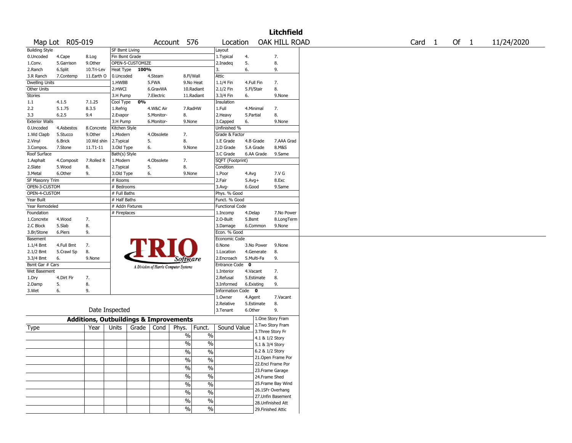|                       |                 |                                                   |                 |                  |            |                                       |               |                        |           |            | <b>Litchfield</b>                    |                   |      |            |
|-----------------------|-----------------|---------------------------------------------------|-----------------|------------------|------------|---------------------------------------|---------------|------------------------|-----------|------------|--------------------------------------|-------------------|------|------------|
|                       | Map Lot R05-019 |                                                   |                 |                  | Account    |                                       | 576           | Location               |           |            | OAK HILL ROAD                        | Card <sub>1</sub> | Of 1 | 11/24/2020 |
| <b>Building Style</b> |                 |                                                   | SF Bsmt Living  |                  |            |                                       |               | Layout                 |           |            |                                      |                   |      |            |
| 0.Uncoded             | 4.Cape          | 8.Log                                             | Fin Bsmt Grade  |                  |            |                                       |               | 1. Typical             | 4.        |            | 7.                                   |                   |      |            |
| 1.Conv.               | 5.Garrison      | 9.0ther                                           |                 | OPEN-5-CUSTOMIZE |            |                                       |               | 2.Inadeg               | 5.        |            | 8.                                   |                   |      |            |
| 2.Ranch               | 6.Split         | 10.Tri-Lev                                        | Heat Type       | 100%             |            |                                       |               | 3.                     | 6.        |            | 9.                                   |                   |      |            |
| 3.R Ranch             | 7.Contemp       | 11.Earth O                                        | 0.Uncoded       |                  | 4.Steam    | 8.Fl/Wall                             |               | Attic                  |           |            |                                      |                   |      |            |
| <b>Dwelling Units</b> |                 |                                                   | 1.HWBB          |                  | 5.FWA      |                                       | 9.No Heat     | 1.1/4 Fin              |           | 4.Full Fin | 7.                                   |                   |      |            |
| Other Units           |                 |                                                   | 2.HWCI          |                  | 6.GravWA   |                                       | 10.Radiant    | 2.1/2 Fin              |           | 5.Fl/Stair | 8.                                   |                   |      |            |
| Stories               |                 |                                                   | 3.H Pump        |                  | 7.Electric |                                       | 11.Radiant    | 3.3/4 Fin              | 6.        |            | 9.None                               |                   |      |            |
| 1.1                   | 4.1.5           | 7.1.25                                            | Cool Type       | 0%               |            |                                       |               | Insulation             |           |            |                                      |                   |      |            |
| 2.2                   | 5.1.75          | 8.3.5                                             | 1.Refrig        |                  | 4.W&C Air  | 7.RadHW                               |               | 1.Full                 |           | 4.Minimal  | 7.                                   |                   |      |            |
| 3.3                   | 6.2.5           | 9.4                                               | 2.Evapor        |                  | 5.Monitor- | 8.                                    |               | 2.Heavy                | 5.Partial |            | 8.                                   |                   |      |            |
| <b>Exterior Walls</b> |                 |                                                   | 3.H Pump        |                  | 6.Monitor- | 9.None                                |               | 3.Capped               | 6.        |            | 9.None                               |                   |      |            |
| 0.Uncoded             | 4.Asbestos      | 8.Concrete                                        | Kitchen Style   |                  |            |                                       |               | Unfinished %           |           |            |                                      |                   |      |            |
| 1.Wd Clapb            | 5.Stucco        | 9.Other                                           | 1.Modern        |                  | 4.Obsolete | 7.                                    |               | Grade & Factor         |           |            |                                      |                   |      |            |
| 2.Vinyl               | 6.Brick         | 10.Wd shin                                        | 2.Typical       |                  | 5.         | 8.                                    |               | 1.E Grade              |           | 4.B Grade  | 7.AAA Grad                           |                   |      |            |
| 3.Compos.             | 7.Stone         | 11.T1-11                                          | 3.Old Type      |                  | 6.         | 9.None                                |               | 2.D Grade              |           | 5.A Grade  | 8.M&S                                |                   |      |            |
| Roof Surface          |                 |                                                   | Bath(s) Style   |                  |            |                                       |               | 3.C Grade              |           | 6.AA Grade | 9.Same                               |                   |      |            |
| 1.Asphalt             | 4.Composit      | 7.Rolled R                                        | 1.Modern        |                  | 4.Obsolete | 7.                                    |               | SQFT (Footprint)       |           |            |                                      |                   |      |            |
|                       |                 |                                                   |                 |                  |            | 8.                                    |               |                        |           |            |                                      |                   |      |            |
| 2.Slate               | 5.Wood          | 8.                                                | 2. Typical      |                  | 5.         |                                       |               | Condition              |           |            |                                      |                   |      |            |
| 3. Metal              | 6.Other         | 9.                                                | 3.Old Type      |                  | 6.         | 9.None                                |               | 1.Poor                 | 4.Avg     |            | 7.V G                                |                   |      |            |
| SF Masonry Trim       |                 |                                                   | # Rooms         |                  |            |                                       |               | 2.Fair                 | $5.Avg+$  |            | 8.Exc                                |                   |      |            |
| OPEN-3-CUSTOM         |                 |                                                   | # Bedrooms      |                  |            |                                       |               | 3.Avg-                 | 6.Good    |            | 9.Same                               |                   |      |            |
| OPEN-4-CUSTOM         |                 |                                                   | # Full Baths    |                  |            |                                       |               | Phys. % Good           |           |            |                                      |                   |      |            |
| Year Built            |                 |                                                   | # Half Baths    |                  |            |                                       |               | Funct. % Good          |           |            |                                      |                   |      |            |
| Year Remodeled        |                 |                                                   | # Addn Fixtures |                  |            |                                       |               | <b>Functional Code</b> |           |            |                                      |                   |      |            |
| Foundation            |                 |                                                   | # Fireplaces    |                  |            |                                       |               | 1.Incomp               | 4.Delap   |            | 7.No Power                           |                   |      |            |
| 1.Concrete            | 4.Wood          | 7.                                                |                 |                  |            |                                       |               | 2.O-Built              | 5.Bsmt    |            | 8.LongTerm                           |                   |      |            |
| 2.C Block             | 5.Slab          | 8.                                                |                 |                  |            |                                       |               | 3.Damage               |           | 6.Common   | 9.None                               |                   |      |            |
| 3.Br/Stone            | 6.Piers         | 9.                                                |                 |                  |            |                                       |               | Econ. % Good           |           |            |                                      |                   |      |            |
| Basement              |                 |                                                   |                 |                  |            |                                       |               | Economic Code          |           |            |                                      |                   |      |            |
| 1.1/4 Bmt             | 4.Full Bmt      | 7.                                                |                 |                  |            |                                       |               | 0.None                 |           | 3.No Power | 9.None                               |                   |      |            |
| 2.1/2 Bmt             | 5.Crawl Sp      | 8.                                                |                 |                  |            |                                       |               | 1.Location             |           | 4.Generate | 8.                                   |                   |      |            |
| 3.3/4 Bmt             | 6.              | 9.None                                            |                 |                  |            | <i>Software</i>                       |               | 2.Encroach             |           | 5.Multi-Fa | 9.                                   |                   |      |            |
| Bsmt Gar # Cars       |                 |                                                   |                 |                  |            | A Division of Harris Computer Systems |               | Entrance Code 0        |           |            |                                      |                   |      |            |
| Wet Basement          |                 |                                                   |                 |                  |            |                                       |               | 1.Interior             |           | 4.Vacant   | 7.                                   |                   |      |            |
| 1.Dry                 | 4.Dirt Flr      | 7.                                                |                 |                  |            |                                       |               | 2.Refusal              |           | 5.Estimate | 8.                                   |                   |      |            |
| 2.Damp                | 5.              | 8.                                                |                 |                  |            |                                       |               | 3.Informed             |           | 6.Existing | 9.                                   |                   |      |            |
| 3.Wet                 | 6.              | 9.                                                |                 |                  |            |                                       |               | Information Code 0     |           |            |                                      |                   |      |            |
|                       |                 |                                                   |                 |                  |            |                                       |               | 1.Owner                | 4.Agent   |            | 7.Vacant                             |                   |      |            |
|                       |                 |                                                   |                 |                  |            |                                       |               | 2.Relative             |           | 5.Estimate | 8.                                   |                   |      |            |
|                       |                 | Date Inspected                                    |                 |                  |            |                                       |               | 3.Tenant               | 6.Other   |            | 9.                                   |                   |      |            |
|                       |                 |                                                   |                 |                  |            |                                       |               |                        |           |            |                                      |                   |      |            |
|                       |                 | <b>Additions, Outbuildings &amp; Improvements</b> |                 |                  |            |                                       |               |                        |           |            | 1.One Story Fram<br>2.Two Story Fram |                   |      |            |
| Type                  |                 | Year                                              | Units           | Grade            | Cond       | Phys.                                 | Funct.        | Sound Value            |           |            | 3. Three Story Fr                    |                   |      |            |
|                       |                 |                                                   |                 |                  |            | $\%$                                  | $\%$          |                        |           |            | 4.1 & 1/2 Story                      |                   |      |            |
|                       |                 |                                                   |                 |                  |            | $\frac{0}{0}$                         | $\%$          |                        |           |            | 5.1 & 3/4 Story                      |                   |      |            |
|                       |                 |                                                   |                 |                  |            |                                       |               |                        |           |            | 6.2 & 1/2 Story                      |                   |      |            |
|                       |                 |                                                   |                 |                  |            | $\frac{1}{2}$                         | $\frac{0}{6}$ |                        |           |            | 21.Open Frame Por                    |                   |      |            |
|                       |                 |                                                   |                 |                  |            | $\%$                                  | $\frac{0}{6}$ |                        |           |            | 22.Encl Frame Por                    |                   |      |            |
|                       |                 |                                                   |                 |                  |            | $\frac{0}{6}$                         | $\frac{0}{6}$ |                        |           |            |                                      |                   |      |            |
|                       |                 |                                                   |                 |                  |            |                                       | $\frac{0}{6}$ |                        |           |            | 23. Frame Garage                     |                   |      |            |
|                       |                 |                                                   |                 |                  |            | $\frac{1}{2}$                         |               |                        |           |            | 24.Frame Shed                        |                   |      |            |
|                       |                 |                                                   |                 |                  |            | $\frac{0}{0}$                         | $\frac{0}{6}$ |                        |           |            | 25. Frame Bay Wind                   |                   |      |            |
|                       |                 |                                                   |                 |                  |            | $\%$                                  | $\frac{1}{2}$ |                        |           |            | 26.1SFr Overhang                     |                   |      |            |
|                       |                 |                                                   |                 |                  |            | $\frac{0}{6}$                         | $\frac{0}{6}$ |                        |           |            | 27.Unfin Basement                    |                   |      |            |
|                       |                 |                                                   |                 |                  |            |                                       |               |                        |           |            | 28. Unfinished Att                   |                   |      |            |
|                       |                 |                                                   |                 |                  |            | $\sqrt{6}$                            | $\frac{0}{6}$ |                        |           |            | 29. Finished Attic                   |                   |      |            |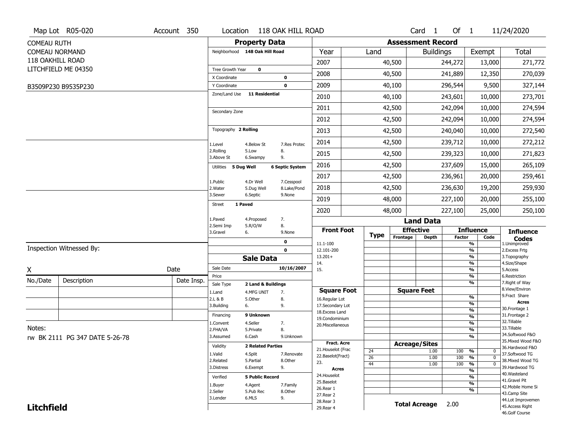|                    | Map Lot R05-020                | Account 350 | Location                       |                          | 118 OAK HILL ROAD      |                                     |                 |                          | Card <sub>1</sub>            | Of $1$        |                                | 11/24/2020                           |
|--------------------|--------------------------------|-------------|--------------------------------|--------------------------|------------------------|-------------------------------------|-----------------|--------------------------|------------------------------|---------------|--------------------------------|--------------------------------------|
| <b>COMEAU RUTH</b> |                                |             |                                | <b>Property Data</b>     |                        |                                     |                 | <b>Assessment Record</b> |                              |               |                                |                                      |
|                    | <b>COMEAU NORMAND</b>          |             | Neighborhood 148 Oak Hill Road |                          |                        | Year                                | Land            |                          | <b>Buildings</b>             |               | Exempt                         | <b>Total</b>                         |
|                    | 118 OAKHILL ROAD               |             |                                |                          |                        | 2007                                |                 | 40,500                   |                              | 244,272       | 13,000                         | 271,772                              |
|                    | LITCHFIELD ME 04350            |             | Tree Growth Year               | $\mathbf 0$              |                        | 2008                                |                 | 40,500                   |                              | 241,889       | 12,350                         | 270,039                              |
|                    |                                |             | X Coordinate                   |                          | 0                      |                                     |                 |                          |                              |               |                                |                                      |
|                    | B3509P230 B9535P230            |             | Y Coordinate<br>Zone/Land Use  | 11 Residential           | $\mathbf 0$            | 2009                                |                 | 40,100                   |                              | 296,544       | 9,500                          | 327,144                              |
|                    |                                |             |                                |                          |                        | 2010                                |                 | 40,100                   |                              | 243,601       | 10,000                         | 273,701                              |
|                    |                                |             | Secondary Zone                 |                          |                        | 2011                                |                 | 42,500                   |                              | 242,094       | 10,000                         | 274,594                              |
|                    |                                |             |                                |                          |                        | 2012                                |                 | 42,500                   |                              | 242,094       | 10,000                         | 274,594                              |
|                    |                                |             | Topography 2 Rolling           |                          |                        | 2013                                |                 | 42,500                   |                              | 240,040       | 10,000                         | 272,540                              |
|                    |                                |             | 1.Level                        | 4.Below St               | 7.Res Protec           | 2014                                |                 | 42,500                   |                              | 239,712       | 10,000                         | 272,212                              |
|                    |                                |             | 2.Rolling<br>3.Above St        | 5.Low<br>6.Swampy        | 8.<br>9.               | 2015                                |                 | 42,500                   |                              | 239,323       | 10,000                         | 271,823                              |
|                    |                                |             | Utilities 5 Dug Well           |                          | <b>6 Septic System</b> | 2016                                |                 | 42,500                   |                              | 237,609       | 15,000                         | 265,109                              |
|                    |                                |             | 1.Public                       | 4.Dr Well                | 7.Cesspool             | 2017                                |                 | 42,500                   |                              | 236,961       | 20,000                         | 259,461                              |
|                    |                                |             | 2. Water                       | 5.Dug Well               | 8.Lake/Pond            | 2018                                |                 | 42,500                   |                              | 236,630       | 19,200                         | 259,930                              |
|                    |                                |             | 3.Sewer                        | 6.Septic                 | 9.None                 | 2019                                |                 | 48,000                   |                              | 227,100       | 20,000                         | 255,100                              |
|                    |                                |             | 1 Paved<br>Street              |                          |                        | 2020                                |                 | 48,000                   |                              | 227,100       | 25,000                         | 250,100                              |
|                    |                                |             | 1.Paved                        | 4.Proposed<br>5.R/O/W    | 7.<br>8.               |                                     |                 |                          | <b>Land Data</b>             |               |                                |                                      |
|                    |                                |             | 2.Semi Imp<br>3.Gravel         | 6.                       | 9.None                 | <b>Front Foot</b>                   | <b>Type</b>     |                          | <b>Effective</b>             |               | <b>Influence</b>               | <b>Influence</b>                     |
|                    |                                |             |                                |                          | 0                      | 11.1-100                            |                 | Frontage                 | <b>Depth</b>                 | <b>Factor</b> | Code<br>%                      | <b>Codes</b><br>1.Unimproved         |
|                    | Inspection Witnessed By:       |             |                                |                          | $\mathbf 0$            | 12.101-200                          |                 |                          |                              |               | $\frac{9}{6}$                  | 2. Excess Frtg                       |
|                    |                                |             |                                | <b>Sale Data</b>         |                        | $13.201+$<br>14.                    |                 |                          |                              |               | %<br>%                         | 3. Topography<br>4.Size/Shape        |
| X                  |                                | Date        | Sale Date                      |                          | 10/16/2007             | 15.                                 |                 |                          |                              |               | %                              | 5.Access                             |
| No./Date           | Description                    | Date Insp.  | Price<br>Sale Type             | 2 Land & Buildings       |                        |                                     |                 |                          |                              |               | $\frac{9}{6}$<br>%             | 6.Restriction<br>7. Right of Way     |
|                    |                                |             | 1.Land                         | 4.MFG UNIT               | 7.                     | <b>Square Foot</b>                  |                 |                          | <b>Square Feet</b>           |               |                                | 8.View/Environ                       |
|                    |                                |             | 2.L & B                        | 5.Other                  | 8.                     | 16.Regular Lot                      |                 |                          |                              |               | $\frac{9}{6}$                  | 9. Fract Share<br><b>Acres</b>       |
|                    |                                |             | 3.Building                     | 6.                       | 9.                     | 17.Secondary Lot<br>18. Excess Land |                 |                          |                              |               | $\frac{9}{6}$<br>$\frac{9}{6}$ | 30. Frontage 1                       |
|                    |                                |             | Financing                      | 9 Unknown                |                        | 19.Condominium                      |                 |                          |                              |               | $\overline{\frac{9}{6}}$       | 31. Frontage 2                       |
|                    |                                |             | 1.Convent                      | 4.Seller                 | 7.                     | 20.Miscellaneous                    |                 |                          |                              |               | $\frac{9}{6}$                  | 32. Tillable<br>33.Tillable          |
| Notes:             |                                |             | 2.FHA/VA                       | 5.Private                | 8.                     |                                     |                 |                          |                              |               | $\frac{9}{6}$                  | 34.Softwood F&O                      |
|                    | rw BK 2111 PG 347 DATE 5-26-78 |             | 3.Assumed                      | 6.Cash                   | 9.Unknown              | <b>Fract. Acre</b>                  |                 |                          |                              |               | %                              | 35. Mixed Wood F&O                   |
|                    |                                |             | Validity                       | <b>2 Related Parties</b> |                        | 21. Houselot (Frac                  | 24              |                          | <b>Acreage/Sites</b><br>1.00 | 100           | %<br>0                         | 36.Hardwood F&O                      |
|                    |                                |             | 1.Valid                        | 4.Split                  | 7.Renovate             | 22.Baselot(Fract)                   | $\overline{26}$ |                          | 1.00                         | 100           | $\overline{0}$<br>%            | 37.Softwood TG                       |
|                    |                                |             | 2.Related                      | 5.Partial                | 8.Other                | 23.                                 | 44              |                          | 1.00                         | 100           | $\overline{0}$<br>%            | 38. Mixed Wood TG                    |
|                    |                                |             | 3.Distress                     | 6.Exempt                 | 9.                     | <b>Acres</b>                        |                 |                          |                              |               | %                              | 39.Hardwood TG<br>40. Wasteland      |
|                    |                                |             | Verified                       | <b>5 Public Record</b>   |                        | 24. Houselot<br>25.Baselot          |                 |                          |                              |               | %                              | 41.Gravel Pit                        |
|                    |                                |             |                                |                          |                        |                                     |                 |                          |                              |               | %                              | 42. Mobile Home Si                   |
|                    |                                |             | 1.Buyer                        | 4.Agent                  | 7.Family               |                                     |                 |                          |                              |               |                                |                                      |
|                    |                                |             | 2.Seller                       | 5.Pub Rec                | 8.0ther                | 26.Rear 1<br>27.Rear 2              |                 |                          |                              |               | %                              | 43.Camp Site                         |
| <b>Litchfield</b>  |                                |             | 3.Lender                       | 6.MLS                    | 9.                     | 28. Rear 3<br>29. Rear 4            |                 |                          | <b>Total Acreage</b>         | 2.00          |                                | 44.Lot Improvemen<br>45.Access Right |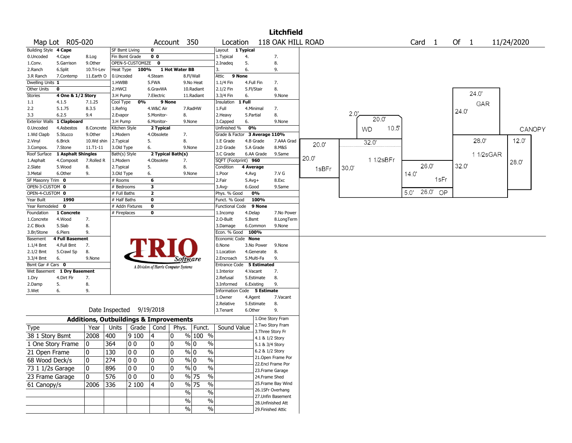|                       |                    |              |                |                                                   |                         |                                       |                                           |                         |            |                    | Litchfield         |                   |       |      |           |       |                   |       |          |            |        |
|-----------------------|--------------------|--------------|----------------|---------------------------------------------------|-------------------------|---------------------------------------|-------------------------------------------|-------------------------|------------|--------------------|--------------------|-------------------|-------|------|-----------|-------|-------------------|-------|----------|------------|--------|
|                       | Map Lot R05-020    |              |                |                                                   |                         | Account 350                           |                                           | Location                |            |                    |                    | 118 OAK HILL ROAD |       |      |           |       | Card <sub>1</sub> | Of 1  |          | 11/24/2020 |        |
| <b>Building Style</b> | 4 Cape             |              | SF Bsmt Living |                                                   | $\mathbf 0$             |                                       |                                           | Layout                  | 1 Typical  |                    |                    |                   |       |      |           |       |                   |       |          |            |        |
| 0.Uncoded             | 4.Cape             | 8.Log        | Fin Bsmt Grade |                                                   | 0 <sub>0</sub>          |                                       |                                           | 1. Typical              | 4.         |                    | 7.                 |                   |       |      |           |       |                   |       |          |            |        |
| 1.Conv.               | 5.Garrison         | 9.0ther      |                | OPEN-5-CUSTOMIZE                                  | $\mathbf 0$             |                                       |                                           | 2.Inadeq                | 5.         |                    | 8.                 |                   |       |      |           |       |                   |       |          |            |        |
| 2.Ranch               | 6.Split            | 10.Tri-Lev   | Heat Type      | 100%                                              |                         | 1 Hot Water BB                        |                                           | 3.                      | 6.         |                    | 9.                 |                   |       |      |           |       |                   |       |          |            |        |
| 3.R Ranch             | 7.Contemp          | 11.Earth O   | 0.Uncoded      |                                                   | 4.Steam                 |                                       | 8.Fl/Wall                                 | Attic                   | 9 None     |                    |                    |                   |       |      |           |       |                   |       |          |            |        |
| Dwelling Units 1      |                    |              | 1.HWBB         |                                                   | 5.FWA                   |                                       | 9.No Heat                                 | 1.1/4 Fin               | 4.Full Fin |                    | 7.                 |                   |       |      |           |       |                   |       |          |            |        |
| Other Units           | $\bf{0}$           |              | 2.HWCI         |                                                   | 6.GravWA                |                                       | 10.Radiant                                | 2.1/2 Fin               | 5.Fl/Stair |                    | 8.                 |                   |       |      |           |       |                   |       | 24.0     |            |        |
| Stories               | 4 One & 1/2 Story  |              | 3.H Pump       |                                                   | 7.Electric              |                                       | 11.Radiant                                | 3.3/4 Fin               | 6.         |                    | 9.None             |                   |       |      |           |       |                   |       |          |            |        |
| 1.1                   | 4.1.5              | 7.1.25       | Cool Type      | 0%                                                |                         | 9 None                                |                                           | Insulation              | 1 Full     |                    |                    |                   |       |      |           |       |                   |       | GAR      |            |        |
| 2.2                   | 5.1.75             | 8.3.5        | 1.Refrig       |                                                   | 4.W&C Air               |                                       | 7.RadHW                                   | 1.Full                  | 4.Minimal  |                    | 7.                 |                   | 2.0'  |      |           |       |                   | 24.0  |          |            |        |
| 3.3                   | 6.2.5              | 9.4          | 2.Evapor       |                                                   | 5.Monitor-              | 8.                                    |                                           | 2.Heavy                 | 5.Partial  |                    | 8.                 |                   |       |      | 20.0'     |       |                   |       |          |            |        |
| <b>Exterior Walls</b> | 1 Clapboard        |              | 3.H Pump       |                                                   | 6.Monitor-              |                                       | 9.None                                    | 3.Capped                | 6.         |                    | 9.None             |                   |       |      |           |       |                   |       |          |            |        |
| 0.Uncoded             | 4.Asbestos         | 8.Concrete   | Kitchen Style  |                                                   | 2 Typical               |                                       |                                           | Unfinished %            | 0%         |                    |                    |                   |       | WD   | 10.5      |       |                   |       |          |            | CANOPY |
| 1.Wd Clapb            | 5.Stucco           | 9.0ther      | L.Modern       |                                                   | 4.Obsolete              | 7.                                    |                                           | Grade & Factor          |            | 3 Average 110%     |                    |                   |       |      |           |       |                   |       |          |            |        |
| 2.Vinyl               | 6.Brick            | 10.Wd shin   | 2.Typical      |                                                   | 5.                      | 8.                                    |                                           | 1.E Grade               | 4.B Grade  |                    | 7.AAA Grad         | 20.0'             |       | 32.0 |           |       |                   |       | 28.0     | 12.0'      |        |
| 3.Compos.             | 7.Stone            | $11.71 - 11$ | 3.Old Type     |                                                   | 6.                      |                                       | 9.None                                    | 2.D Grade               | 5.A Grade  |                    | 8.M&S              |                   |       |      |           |       |                   |       |          |            |        |
| Roof Surface          | 1 Asphalt Shingles |              | Bath(s) Style  |                                                   |                         | 2 Typical Bath(s)                     |                                           | 3.C Grade               | 6.AA Grade |                    | 9.Same             | 20.0              |       |      |           |       |                   |       | 11/2sGAR |            |        |
| 1.Asphalt             | 4.Composit         | 7.Rolled R   | 1.Modern       |                                                   | 4.Obsolete              | 7.                                    |                                           | SQFT (Footprint) 960    |            |                    |                    |                   |       |      | 1 1/2sBFr |       |                   |       |          | 28.0       |        |
| 2.Slate               | 5.Wood             | 8.           | 2. Typical     |                                                   | 5.                      | 8.                                    |                                           | Condition               | 4 Average  |                    |                    | 1sBFr             | 30.0" |      |           |       | 26.0              | 32.0' |          |            |        |
| 3.Metal               | 6.Other            | 9.           | 3.Old Type     |                                                   | 6.                      |                                       | 9.None                                    | 1.Poor                  | 4.Avg      |                    | 7.V G              |                   |       |      |           | 14.0' |                   |       |          |            |        |
| SF Masonry Trim 0     |                    |              | # Rooms        |                                                   | 6                       |                                       |                                           | 2.Fair                  | $5.Avg+$   |                    | 8.Exc              |                   |       |      |           |       | 1sFr              |       |          |            |        |
| OPEN-3-CUSTOM 0       |                    |              | # Bedrooms     |                                                   | $\overline{\mathbf{3}}$ |                                       |                                           | 3.Avg-                  | 6.Good     |                    | 9.Same             |                   |       |      |           |       |                   |       |          |            |        |
| OPEN-4-CUSTOM 0       |                    |              | # Full Baths   |                                                   | $\overline{2}$          |                                       |                                           | Phys. % Good            | 0%         |                    |                    |                   |       |      |           | 5.0'  | $26.0'$ OP        |       |          |            |        |
| Year Built            | 1990               |              | # Half Baths   |                                                   | $\bf o$                 |                                       |                                           | Funct. % Good           |            | 100%               |                    |                   |       |      |           |       |                   |       |          |            |        |
| Year Remodeled        | $\mathbf 0$        |              |                | # Addn Fixtures                                   | $\overline{\mathbf{0}}$ |                                       |                                           | Functional Code         |            | 9 None             |                    |                   |       |      |           |       |                   |       |          |            |        |
| Foundation            | 1 Concrete         |              | # Fireplaces   |                                                   | 0                       |                                       |                                           | 1.Incomp                | 4.Delap    |                    | 7.No Power         |                   |       |      |           |       |                   |       |          |            |        |
| 1.Concrete            | 4.Wood             | 7.           |                |                                                   |                         |                                       |                                           | 2.0-Built               | 5.Bsmt     |                    | 8.LongTerm         |                   |       |      |           |       |                   |       |          |            |        |
| 2.C Block             | 5.Slab             | 8.           |                |                                                   |                         |                                       |                                           | 3.Damage                | 6.Common   |                    | 9.None             |                   |       |      |           |       |                   |       |          |            |        |
| 3.Br/Stone            | 6.Piers            | 9.           |                |                                                   |                         |                                       |                                           | Econ. % Good 100%       |            |                    |                    |                   |       |      |           |       |                   |       |          |            |        |
| Basement              | 4 Full Basement    |              |                |                                                   |                         |                                       |                                           | Economic Code None      |            |                    |                    |                   |       |      |           |       |                   |       |          |            |        |
| 1.1/4 Bmt             | 4.Full Bmt         | 7.           |                |                                                   |                         |                                       |                                           | 0.None                  | 3.No Power |                    | 9.None             |                   |       |      |           |       |                   |       |          |            |        |
| 2.1/2 Bmt             | 5.Crawl Sp         | 8.           |                |                                                   |                         |                                       |                                           | 1.Location              | 4.Generate |                    | 8.                 |                   |       |      |           |       |                   |       |          |            |        |
| 3.3/4 Bmt             | 6.                 | 9.None       |                |                                                   |                         | Software                              |                                           | 2.Encroach              | 5.Multi-Fa |                    | 9.                 |                   |       |      |           |       |                   |       |          |            |        |
| Bsmt Gar # Cars 0     |                    |              |                |                                                   |                         | A Division of Harris Computer Systems |                                           | <b>Entrance Code</b>    |            | <b>5 Estimated</b> |                    |                   |       |      |           |       |                   |       |          |            |        |
| Wet Basement          | 1 Dry Basement     |              |                |                                                   |                         |                                       |                                           | 1.Interior              | 4.Vacant   |                    | 7.                 |                   |       |      |           |       |                   |       |          |            |        |
| 1.Dry                 | 4.Dirt Flr         | 7.           |                |                                                   |                         |                                       |                                           | 2.Refusal               | 5.Estimate |                    | 8.                 |                   |       |      |           |       |                   |       |          |            |        |
| 2.Damp                | 5.                 | 8.           |                |                                                   |                         |                                       |                                           | 3.Informed              | 6.Existing |                    | 9.                 |                   |       |      |           |       |                   |       |          |            |        |
| 3.Wet                 | 6.                 | 9.           |                |                                                   |                         |                                       |                                           | <b>Information Code</b> |            | 5 Estimate         |                    |                   |       |      |           |       |                   |       |          |            |        |
|                       |                    |              |                |                                                   |                         |                                       |                                           | 1.Owner                 | 4.Agent    |                    | 7.Vacant           |                   |       |      |           |       |                   |       |          |            |        |
|                       |                    |              | Date Inspected |                                                   | 9/19/2018               |                                       |                                           | 2.Relative              | 5.Estimate |                    | 8.                 |                   |       |      |           |       |                   |       |          |            |        |
|                       |                    |              |                |                                                   |                         |                                       |                                           | 3.Tenant                | 6.Other    |                    | 9.                 |                   |       |      |           |       |                   |       |          |            |        |
|                       |                    |              |                | <b>Additions, Outbuildings &amp; Improvements</b> |                         |                                       |                                           |                         |            |                    | 1.One Story Fram   |                   |       |      |           |       |                   |       |          |            |        |
| <b>Type</b>           |                    | Year         | Units          | Grade                                             | Cond                    | Phys.                                 | Funct.                                    | Sound Value             |            |                    | 2. Two Story Fram  |                   |       |      |           |       |                   |       |          |            |        |
| 38 1 Story Bsmt       |                    | 2008         | 400            | 9100                                              | 4                       | 0                                     | % 100 %                                   |                         |            | 3. Three Story Fr  |                    |                   |       |      |           |       |                   |       |          |            |        |
|                       |                    |              |                |                                                   |                         |                                       |                                           |                         |            | 4.1 & 1/2 Story    |                    |                   |       |      |           |       |                   |       |          |            |        |
|                       | 1 One Story Frame  | 0            | 364            | 0 <sub>0</sub>                                    | 0                       | 0                                     | $\%$<br>% 0                               |                         |            | 5.1 & 3/4 Story    |                    |                   |       |      |           |       |                   |       |          |            |        |
| 21 Open Frame         |                    | 0            | 130            | 00                                                | 0                       | $\Omega$                              | $\frac{9}{0}$<br>$\%$                     |                         |            | 6.2 & 1/2 Story    |                    |                   |       |      |           |       |                   |       |          |            |        |
| 68 Wood Deck/s        |                    | 10           | 274            | 00                                                | 0                       | 0                                     | $\sqrt[6]{0}$<br>$\%$                     |                         |            |                    | 21.Open Frame Por  |                   |       |      |           |       |                   |       |          |            |        |
| 73 1 1/2s Garage      |                    | 10           | 896            | 00                                                | 0                       | 0                                     | $\sqrt[9]{0}$<br>$\%$                     |                         |            |                    | 22.Encl Frame Por  |                   |       |      |           |       |                   |       |          |            |        |
|                       |                    |              |                |                                                   |                         |                                       |                                           |                         |            |                    | 23. Frame Garage   |                   |       |      |           |       |                   |       |          |            |        |
| 23 Frame Garage       |                    | 10           | 576            | 00                                                | 0                       | 0                                     | $\sqrt{8}$ 75<br>$\overline{\frac{0}{0}}$ |                         |            | 24.Frame Shed      |                    |                   |       |      |           |       |                   |       |          |            |        |
| 61 Canopy/s           |                    | 2006         | 336            | 2 100                                             | 4                       | 0                                     | $\sqrt{96}$ 75<br>$\%$                    |                         |            |                    | 25. Frame Bay Wind |                   |       |      |           |       |                   |       |          |            |        |
|                       |                    |              |                |                                                   |                         | $\sqrt{6}$                            | $\%$                                      |                         |            |                    | 26.1SFr Overhang   |                   |       |      |           |       |                   |       |          |            |        |
|                       |                    |              |                |                                                   |                         | $\%$                                  | $\%$                                      |                         |            |                    | 27.Unfin Basement  |                   |       |      |           |       |                   |       |          |            |        |
|                       |                    |              |                |                                                   |                         |                                       |                                           |                         |            |                    | 28. Unfinished Att |                   |       |      |           |       |                   |       |          |            |        |
|                       |                    |              |                |                                                   |                         | $\sqrt{6}$                            | $\%$                                      |                         |            | 29. Finished Attic |                    |                   |       |      |           |       |                   |       |          |            |        |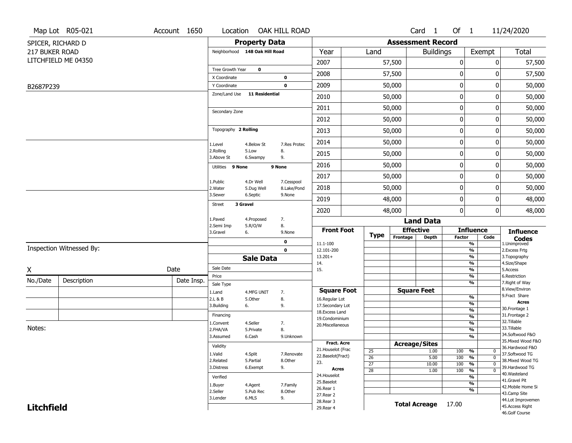|                   | Map Lot R05-021          | Account 1650 | Location                       |                       | OAK HILL ROAD    |                                     |                 |                          | Card <sub>1</sub>    | Of $1$           |                                            | 11/24/2020                           |
|-------------------|--------------------------|--------------|--------------------------------|-----------------------|------------------|-------------------------------------|-----------------|--------------------------|----------------------|------------------|--------------------------------------------|--------------------------------------|
|                   | SPICER, RICHARD D        |              |                                | <b>Property Data</b>  |                  |                                     |                 | <b>Assessment Record</b> |                      |                  |                                            |                                      |
| 217 BUKER ROAD    |                          |              | Neighborhood 148 Oak Hill Road |                       |                  | Year                                | Land            |                          | <b>Buildings</b>     |                  | Exempt                                     | Total                                |
|                   | LITCHFIELD ME 04350      |              |                                |                       |                  | 2007                                |                 | 57,500                   |                      | $\boldsymbol{0}$ | 0                                          | 57,500                               |
|                   |                          |              | Tree Growth Year               | 0                     |                  | 2008                                |                 | 57,500                   |                      | 0                | ŋ                                          | 57,500                               |
|                   |                          |              | X Coordinate<br>Y Coordinate   |                       | 0<br>$\mathbf 0$ | 2009                                |                 | 50,000                   |                      | $\boldsymbol{0}$ | 0                                          | 50,000                               |
| B2687P239         |                          |              | Zone/Land Use                  | 11 Residential        |                  | 2010                                |                 | 50,000                   |                      | $\mathbf 0$      | 0                                          | 50,000                               |
|                   |                          |              |                                |                       |                  | 2011                                |                 | 50,000                   |                      | $\mathbf 0$      | 0                                          | 50,000                               |
|                   |                          |              | Secondary Zone                 |                       |                  |                                     |                 |                          |                      | $\mathbf 0$      | 0                                          |                                      |
|                   |                          |              |                                |                       |                  | 2012                                |                 | 50,000                   |                      |                  |                                            | 50,000                               |
|                   |                          |              | Topography 2 Rolling           |                       |                  | 2013                                |                 | 50,000                   |                      | $\boldsymbol{0}$ | 0                                          | 50,000                               |
|                   |                          |              | 1.Level<br>2.Rolling           | 4.Below St            | 7.Res Protec     | 2014                                |                 | 50,000                   |                      | $\mathbf 0$      | 0                                          | 50,000                               |
|                   |                          |              | 3.Above St                     | 5.Low<br>6.Swampy     | 8.<br>9.         | 2015                                |                 | 50,000                   |                      | 0                | 0                                          | 50,000                               |
|                   |                          |              | Utilities 9 None               |                       | 9 None           | 2016                                |                 | 50,000                   |                      | $\mathbf 0$      | 0                                          | 50,000                               |
|                   |                          |              | 1.Public                       | 4.Dr Well             | 7.Cesspool       | 2017                                |                 | 50,000                   |                      | $\boldsymbol{0}$ | 0                                          | 50,000                               |
|                   |                          |              | 2. Water                       | 5.Dug Well            | 8.Lake/Pond      | 2018                                |                 | 50,000                   |                      | $\boldsymbol{0}$ | 0                                          | 50,000                               |
|                   |                          |              | 3.Sewer                        | 6.Septic              | 9.None           | 2019                                |                 | 48,000                   |                      | $\mathbf 0$      | 0                                          | 48,000                               |
|                   |                          |              | 3 Gravel<br>Street             |                       |                  | 2020                                |                 | 48,000                   |                      | $\mathbf 0$      | 0                                          | 48,000                               |
|                   |                          |              | 1.Paved<br>2.Semi Imp          | 4.Proposed<br>5.R/O/W | 7.<br>8.         |                                     |                 |                          | <b>Land Data</b>     |                  |                                            |                                      |
|                   |                          |              | 3.Gravel                       | 6.                    | 9.None           | <b>Front Foot</b>                   | Type            |                          | <b>Effective</b>     |                  | <b>Influence</b>                           | <b>Influence</b>                     |
|                   |                          |              |                                |                       | 0                | 11.1-100                            |                 | Frontage                 | <b>Depth</b>         | Factor           | Code<br>$\overline{\frac{9}{6}}$           | <b>Codes</b><br>1.Unimproved         |
|                   | Inspection Witnessed By: |              |                                |                       | $\mathbf 0$      | 12.101-200<br>$13.201+$             |                 |                          |                      |                  | $\frac{9}{6}$<br>$\overline{\frac{9}{6}}$  | 2.Excess Frtg<br>3. Topography       |
|                   |                          |              |                                | <b>Sale Data</b>      |                  | 14.                                 |                 |                          |                      |                  | $\frac{9}{6}$                              | 4.Size/Shape                         |
| X                 |                          | Date         | Sale Date<br>Price             |                       |                  | 15.                                 |                 |                          |                      |                  | $\frac{9}{6}$<br>$\frac{9}{6}$             | 5.Access<br>6.Restriction            |
| No./Date          | Description              | Date Insp.   | Sale Type                      |                       |                  |                                     |                 |                          |                      |                  | $\overline{\frac{9}{6}}$                   | 7. Right of Way                      |
|                   |                          |              | 1.Land                         | 4.MFG UNIT            | 7.               | <b>Square Foot</b>                  |                 |                          | <b>Square Feet</b>   |                  |                                            | 8.View/Environ<br>9.Fract Share      |
|                   |                          |              | 2.L & B                        | 5.Other               | 8.               | 16.Regular Lot                      |                 |                          |                      |                  | $\frac{9}{6}$<br>$\frac{9}{6}$             | <b>Acres</b>                         |
|                   |                          |              | 3.Building                     | 6.                    | 9.               | 17.Secondary Lot<br>18. Excess Land |                 |                          |                      |                  | $\frac{9}{6}$                              | 30. Frontage 1                       |
|                   |                          |              | Financing                      |                       |                  | 19.Condominium                      |                 |                          |                      |                  | $\frac{9}{6}$                              | 31. Frontage 2<br>32.Tillable        |
| Notes:            |                          |              | 1.Convent                      | 4.Seller              | 7.               | 20.Miscellaneous                    |                 |                          |                      |                  | %                                          | 33.Tillable                          |
|                   |                          |              | 2.FHA/VA<br>3.Assumed          | 5.Private<br>6.Cash   | 8.<br>9.Unknown  |                                     |                 |                          |                      |                  | $\overline{\frac{9}{6}}$<br>$\frac{9}{6}$  | 34.Softwood F&O                      |
|                   |                          |              |                                |                       |                  | <b>Fract. Acre</b>                  |                 |                          | <b>Acreage/Sites</b> |                  |                                            | 35. Mixed Wood F&O                   |
|                   |                          |              | Validity                       |                       |                  | 21. Houselot (Frac                  | 25              |                          | 1.00                 | 100              | %<br>$\mathbf{0}$                          | 36.Hardwood F&O                      |
|                   |                          |              | 1.Valid                        | 4.Split               | 7.Renovate       | 22.Baselot(Fract)                   | $\overline{26}$ |                          | 5.00                 | 100              | $\overline{0}$<br>%                        | 37.Softwood TG<br>38. Mixed Wood TG  |
|                   |                          |              | 2.Related<br>3.Distress        | 5.Partial<br>6.Exempt | 8.Other<br>9.    | 23.                                 | $\overline{27}$ |                          | 10.00                | 100              | $\frac{9}{6}$<br>$\overline{0}$            | 39.Hardwood TG                       |
|                   |                          |              |                                |                       |                  | Acres<br>24. Houselot               | $\overline{28}$ |                          | 1.00                 | 100              | $\overline{\mathfrak{o}}$<br>$\frac{9}{6}$ | 40.Wasteland                         |
|                   |                          |              | Verified                       |                       |                  | 25.Baselot                          |                 |                          |                      |                  | %<br>$\overline{\frac{9}{6}}$              | 41.Gravel Pit                        |
|                   |                          |              | 1.Buyer                        | 4.Agent               | 7.Family         | 26.Rear 1                           |                 |                          |                      |                  | %                                          | 42. Mobile Home Si                   |
|                   |                          |              | 2.Seller                       | 5.Pub Rec             | 8.Other          |                                     |                 |                          |                      |                  |                                            | 43.Camp Site                         |
|                   |                          |              |                                |                       |                  | 27. Rear 2                          |                 |                          |                      |                  |                                            |                                      |
| <b>Litchfield</b> |                          |              | 3.Lender                       | 6.MLS                 | 9.               | 28. Rear 3<br>29. Rear 4            |                 |                          | <b>Total Acreage</b> | 17.00            |                                            | 44.Lot Improvemen<br>45.Access Right |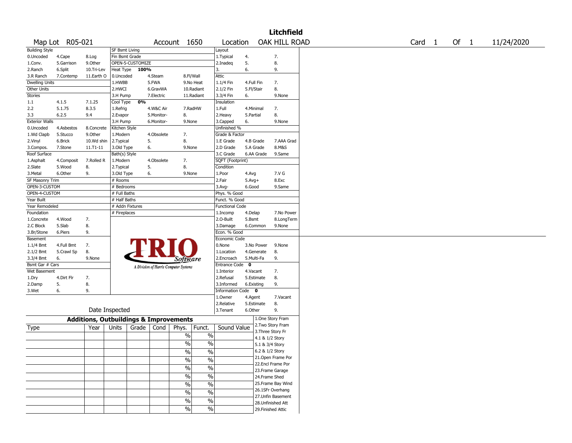|                                   |                 |                                                   |                       |                        |               |                                       |               |                      |             |            | <b>Litchfield</b>  |  |  |  |                   |      |            |
|-----------------------------------|-----------------|---------------------------------------------------|-----------------------|------------------------|---------------|---------------------------------------|---------------|----------------------|-------------|------------|--------------------|--|--|--|-------------------|------|------------|
|                                   | Map Lot R05-021 |                                                   |                       |                        |               | Account 1650                          |               | Location             |             |            | OAK HILL ROAD      |  |  |  | Card <sub>1</sub> | Of 1 | 11/24/2020 |
| <b>Building Style</b>             |                 |                                                   | <b>SF Bsmt Living</b> |                        |               |                                       |               | Layout               |             |            |                    |  |  |  |                   |      |            |
| 0.Uncoded                         | 4.Cape          | 8.Log                                             | Fin Bsmt Grade        |                        |               |                                       |               | 1.Typical            | 4.          |            | 7.                 |  |  |  |                   |      |            |
| 1.Conv.                           | 5.Garrison      | 9.0ther                                           |                       | OPEN-5-CUSTOMIZE       |               |                                       |               | 2.Inadeg             | 5.          |            | 8.                 |  |  |  |                   |      |            |
| 2.Ranch                           | 6.Split         | 10.Tri-Lev                                        | Heat Type             | 100%                   |               |                                       |               | 3.                   | 6.          |            | 9.                 |  |  |  |                   |      |            |
| 3.R Ranch                         | 7.Contemp       | 11.Earth O                                        | 0.Uncoded             |                        | 4.Steam       |                                       | 8.Fl/Wall     | Attic                |             |            |                    |  |  |  |                   |      |            |
| <b>Dwelling Units</b>             |                 |                                                   | 1.HWBB                |                        | 5.FWA         |                                       | 9.No Heat     | 1.1/4 Fin            | 4.Full Fin  |            | 7.                 |  |  |  |                   |      |            |
| Other Units                       |                 |                                                   | 2.HWCI                |                        | 6.GravWA      |                                       | 10.Radiant    | 2.1/2 Fin            | 5.Fl/Stair  |            | 8.                 |  |  |  |                   |      |            |
| <b>Stories</b>                    |                 |                                                   | 3.H Pump              |                        | 7.Electric    |                                       | 11.Radiant    | 3.3/4 Fin            | 6.          |            | 9.None             |  |  |  |                   |      |            |
| 1.1                               | 4.1.5           | 7.1.25                                            | Cool Type             | 0%                     |               |                                       |               | Insulation           |             |            |                    |  |  |  |                   |      |            |
| 2.2                               | 5.1.75          | 8.3.5                                             | 1.Refrig              |                        | 4.W&C Air     |                                       | 7.RadHW       | 1.Full               |             | 4.Minimal  | 7.                 |  |  |  |                   |      |            |
| 3.3                               | 6.2.5           | 9.4                                               | 2.Evapor              |                        | 5.Monitor-    | 8.                                    |               | 2.Heavy              | 5.Partial   |            | 8.                 |  |  |  |                   |      |            |
| <b>Exterior Walls</b>             |                 |                                                   | 3.H Pump              |                        | 6.Monitor-    | 9.None                                |               | 3.Capped             | 6.          |            | 9.None             |  |  |  |                   |      |            |
| 0.Uncoded                         | 4.Asbestos      | 8.Concrete                                        | Kitchen Style         |                        |               |                                       |               | Unfinished %         |             |            |                    |  |  |  |                   |      |            |
| 1.Wd Clapb                        | 5.Stucco        | 9.Other                                           | 1.Modern              |                        | 4.Obsolete    | 7.                                    |               | Grade & Factor       |             |            |                    |  |  |  |                   |      |            |
| 2.Vinyl                           | 6.Brick         | 10.Wd shin                                        | 2.Typical             |                        | 5.            | 8.                                    |               | 1.E Grade            |             | 4.B Grade  | 7.AAA Grad         |  |  |  |                   |      |            |
| 3.Compos.                         | 7.Stone         | 11.T1-11                                          | 3.Old Type            |                        | 6.            | 9.None                                |               | 2.D Grade            |             | 5.A Grade  | 8.M&S              |  |  |  |                   |      |            |
| Roof Surface                      |                 |                                                   | Bath(s) Style         |                        |               |                                       |               | 3.C Grade            |             | 6.AA Grade | 9.Same             |  |  |  |                   |      |            |
|                                   |                 |                                                   |                       |                        |               | 7.                                    |               |                      |             |            |                    |  |  |  |                   |      |            |
| 1.Asphalt                         | 4.Composit      | 7.Rolled R                                        | 1.Modern              |                        | 4.Obsolete    |                                       |               | SQFT (Footprint)     |             |            |                    |  |  |  |                   |      |            |
| 2.Slate                           | 5.Wood          | 8.                                                | 2. Typical            |                        | 5.            | 8.                                    |               | Condition            |             |            |                    |  |  |  |                   |      |            |
| 3.Metal                           | 6.Other         | 9.                                                | 3.Old Type            |                        | 6.            | 9.None                                |               | 1.Poor               | 4.Avg       |            | 7.V G              |  |  |  |                   |      |            |
| SF Masonry Trim                   |                 |                                                   | # Rooms               |                        |               |                                       |               | 2.Fair               | $5.Avg+$    |            | 8.Exc              |  |  |  |                   |      |            |
| OPEN-3-CUSTOM                     |                 |                                                   | # Bedrooms            |                        |               |                                       |               | 3.Avg-               | 6.Good      |            | 9.Same             |  |  |  |                   |      |            |
| OPEN-4-CUSTOM<br># Full Baths     |                 |                                                   |                       |                        |               | Phys. % Good                          |               |                      |             |            |                    |  |  |  |                   |      |            |
| Year Built<br># Half Baths        |                 |                                                   |                       |                        | Funct. % Good |                                       |               |                      |             |            |                    |  |  |  |                   |      |            |
| Year Remodeled<br># Addn Fixtures |                 |                                                   |                       | <b>Functional Code</b> |               |                                       |               |                      |             |            |                    |  |  |  |                   |      |            |
| Foundation                        |                 |                                                   | # Fireplaces          |                        |               |                                       |               | 1.Incomp             | 4.Delap     |            | 7.No Power         |  |  |  |                   |      |            |
| 1.Concrete                        | 4.Wood          | 7.                                                |                       |                        |               |                                       |               | 2.O-Built            | 5.Bsmt      |            | 8.LongTerm         |  |  |  |                   |      |            |
| 2.C Block                         | 5.Slab          | 8.                                                |                       |                        |               |                                       |               | 3.Damage             |             | 6.Common   | 9.None             |  |  |  |                   |      |            |
| 3.Br/Stone                        | 6.Piers         | 9.                                                |                       |                        |               |                                       |               | Econ. % Good         |             |            |                    |  |  |  |                   |      |            |
| Basement                          |                 |                                                   |                       |                        |               |                                       |               | Economic Code        |             |            |                    |  |  |  |                   |      |            |
| $1.1/4$ Bmt                       | 4.Full Bmt      | 7.                                                |                       |                        |               |                                       |               | 0.None               |             | 3.No Power | 9.None             |  |  |  |                   |      |            |
| 2.1/2 Bmt                         | 5.Crawl Sp      | 8.                                                |                       |                        |               |                                       |               | 1.Location           |             | 4.Generate | 8.                 |  |  |  |                   |      |            |
| 3.3/4 Bmt                         | 6.              | 9.None                                            |                       |                        |               | <i>Software</i>                       |               | 2.Encroach           |             | 5.Multi-Fa | 9.                 |  |  |  |                   |      |            |
| Bsmt Gar # Cars                   |                 |                                                   |                       |                        |               |                                       |               | <b>Entrance Code</b> | $\mathbf 0$ |            |                    |  |  |  |                   |      |            |
| Wet Basement                      |                 |                                                   |                       |                        |               | A Division of Harris Computer Systems |               | 1.Interior           | 4.Vacant    |            | 7.                 |  |  |  |                   |      |            |
|                                   | 4.Dirt Flr      | 7.                                                |                       |                        |               |                                       |               | 2.Refusal            |             | 5.Estimate | 8.                 |  |  |  |                   |      |            |
| 1.Dry                             |                 |                                                   |                       |                        |               |                                       |               | 3.Informed           |             |            | 9.                 |  |  |  |                   |      |            |
| 2.Damp                            | 5.              | 8.                                                |                       |                        |               |                                       |               |                      |             | 6.Existing |                    |  |  |  |                   |      |            |
| 3.Wet                             | 6.              | 9.                                                |                       |                        |               |                                       |               | Information Code 0   |             |            |                    |  |  |  |                   |      |            |
|                                   |                 |                                                   |                       |                        |               |                                       |               | 1.Owner              | 4.Agent     |            | 7.Vacant           |  |  |  |                   |      |            |
|                                   |                 |                                                   |                       |                        |               |                                       |               | 2.Relative           |             | 5.Estimate | 8.                 |  |  |  |                   |      |            |
|                                   |                 | Date Inspected                                    |                       |                        |               |                                       |               | 3.Tenant             | 6.Other     |            | 9.                 |  |  |  |                   |      |            |
|                                   |                 | <b>Additions, Outbuildings &amp; Improvements</b> |                       |                        |               |                                       |               |                      |             |            | 1.One Story Fram   |  |  |  |                   |      |            |
| Type                              |                 | Year                                              | Units                 | Grade                  | Cond          | Phys.                                 | Funct.        | Sound Value          |             |            | 2. Two Story Fram  |  |  |  |                   |      |            |
|                                   |                 |                                                   |                       |                        |               |                                       |               |                      |             |            | 3. Three Story Fr  |  |  |  |                   |      |            |
|                                   |                 |                                                   |                       |                        |               | $\%$                                  | $\%$          |                      |             |            | 4.1 & 1/2 Story    |  |  |  |                   |      |            |
|                                   |                 |                                                   |                       |                        |               | %                                     | $\%$          |                      |             |            | 5.1 & 3/4 Story    |  |  |  |                   |      |            |
|                                   |                 |                                                   |                       |                        |               | $\frac{1}{2}$                         | $\frac{0}{6}$ |                      |             |            | 6.2 & 1/2 Story    |  |  |  |                   |      |            |
|                                   |                 |                                                   |                       |                        |               |                                       |               |                      |             |            | 21. Open Frame Por |  |  |  |                   |      |            |
|                                   |                 |                                                   |                       |                        |               | $\%$                                  | $\%$          |                      |             |            | 22.Encl Frame Por  |  |  |  |                   |      |            |
|                                   |                 |                                                   |                       |                        |               | $\sqrt{6}$                            | $\%$          |                      |             |            | 23. Frame Garage   |  |  |  |                   |      |            |
|                                   |                 |                                                   |                       |                        |               | $\frac{1}{2}$                         | $\%$          |                      |             |            | 24.Frame Shed      |  |  |  |                   |      |            |
|                                   |                 |                                                   |                       |                        |               |                                       |               |                      |             |            | 25. Frame Bay Wind |  |  |  |                   |      |            |
|                                   |                 |                                                   |                       |                        |               | $\sqrt{6}$                            | $\%$          |                      |             |            |                    |  |  |  |                   |      |            |
|                                   |                 |                                                   |                       |                        |               | $\%$                                  | $\%$          |                      |             |            | 26.1SFr Overhang   |  |  |  |                   |      |            |
|                                   |                 |                                                   |                       |                        |               | $\sqrt{6}$                            | $\%$          |                      |             |            | 27.Unfin Basement  |  |  |  |                   |      |            |
|                                   |                 |                                                   |                       |                        |               |                                       |               |                      |             |            | 28. Unfinished Att |  |  |  |                   |      |            |
|                                   |                 |                                                   |                       |                        |               | $\sqrt{6}$                            | $\%$          |                      |             |            | 29. Finished Attic |  |  |  |                   |      |            |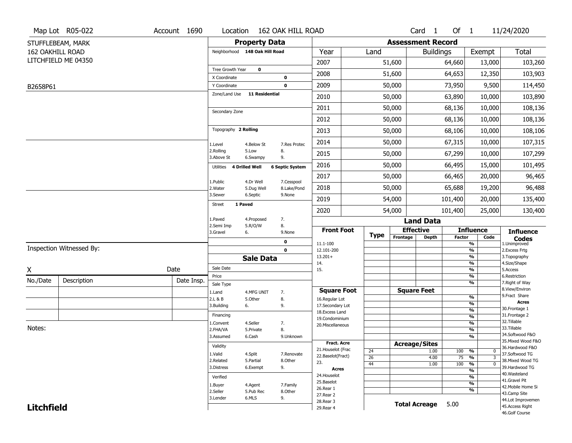|                         | Map Lot R05-022          | Account 1690 | Location                      |                                | 162 OAK HILL ROAD      |                                         |                       |                          | Card <sub>1</sub>    | Of $1$        |                                                    | 11/24/2020                            |
|-------------------------|--------------------------|--------------|-------------------------------|--------------------------------|------------------------|-----------------------------------------|-----------------------|--------------------------|----------------------|---------------|----------------------------------------------------|---------------------------------------|
|                         | STUFFLEBEAM, MARK        |              |                               | <b>Property Data</b>           |                        |                                         |                       | <b>Assessment Record</b> |                      |               |                                                    |                                       |
| <b>162 OAKHILL ROAD</b> |                          |              |                               | Neighborhood 148 Oak Hill Road |                        | Year                                    | Land                  |                          | <b>Buildings</b>     |               | Exempt                                             | <b>Total</b>                          |
|                         | LITCHFIELD ME 04350      |              |                               |                                |                        | 2007                                    |                       | 51,600                   |                      | 64,660        | 13,000                                             | 103,260                               |
|                         |                          |              | Tree Growth Year              | $\mathbf 0$                    |                        | 2008                                    |                       | 51,600                   |                      | 64,653        | 12,350                                             | 103,903                               |
|                         |                          |              | X Coordinate                  |                                | $\mathbf 0$            |                                         |                       |                          |                      |               |                                                    |                                       |
| B2658P61                |                          |              | Y Coordinate<br>Zone/Land Use | <b>11 Residential</b>          | $\mathbf 0$            | 2009                                    |                       | 50,000                   |                      | 73,950        | 9,500                                              | 114,450                               |
|                         |                          |              |                               |                                |                        | 2010                                    |                       | 50,000                   |                      | 63,890        | 10,000                                             | 103,890                               |
|                         |                          |              | Secondary Zone                |                                |                        | 2011                                    |                       | 50,000                   |                      | 68,136        | 10,000                                             | 108,136                               |
|                         |                          |              |                               |                                |                        | 2012                                    |                       | 50,000                   |                      | 68,136        | 10,000                                             | 108,136                               |
|                         |                          |              | Topography 2 Rolling          |                                |                        | 2013                                    |                       | 50,000                   |                      | 68,106        | 10,000                                             | 108,106                               |
|                         |                          |              | 1.Level                       | 4.Below St                     | 7.Res Protec           | 2014                                    |                       | 50,000                   |                      | 67,315        | 10,000                                             | 107,315                               |
|                         |                          |              | 2.Rolling<br>3.Above St       | 5.Low<br>6.Swampy              | 8.<br>9.               | 2015                                    |                       | 50,000                   |                      | 67,299        | 10,000                                             | 107,299                               |
|                         |                          |              | Utilities                     | 4 Drilled Well                 | <b>6 Septic System</b> | 2016                                    |                       | 50,000                   |                      | 66,495        | 15,000                                             | 101,495                               |
|                         |                          |              | 1.Public                      | 4.Dr Well                      | 7.Cesspool             | 2017                                    |                       | 50,000                   |                      | 66,465        | 20,000                                             | 96,465                                |
|                         |                          |              | 2. Water                      | 5.Dug Well                     | 8.Lake/Pond            | 2018                                    |                       | 50,000                   |                      | 65,688        | 19,200                                             | 96,488                                |
|                         |                          |              | 3.Sewer                       | 6.Septic                       | 9.None                 | 2019                                    |                       | 54,000                   |                      | 101,400       | 20,000                                             | 135,400                               |
|                         |                          |              | <b>Street</b>                 | 1 Paved                        |                        | 2020                                    |                       | 54,000                   |                      | 101,400       | 25,000                                             | 130,400                               |
|                         |                          |              | 1.Paved                       | 4.Proposed                     | 7.                     |                                         |                       |                          | <b>Land Data</b>     |               |                                                    |                                       |
|                         |                          |              | 2.Semi Imp<br>3.Gravel        | 5.R/O/W<br>6.                  | 8.<br>9.None           | <b>Front Foot</b>                       |                       |                          | <b>Effective</b>     |               | <b>Influence</b>                                   | <b>Influence</b>                      |
|                         |                          |              |                               |                                | 0                      | 11.1-100                                | <b>Type</b>           | Frontage                 | <b>Depth</b>         | <b>Factor</b> | Code<br>%                                          | <b>Codes</b><br>1.Unimproved          |
|                         | Inspection Witnessed By: |              |                               |                                | $\mathbf 0$            | 12.101-200                              |                       |                          |                      |               | $\frac{9}{6}$                                      | 2. Excess Frtg                        |
|                         |                          |              |                               | <b>Sale Data</b>               |                        | $13.201+$<br>14.                        |                       |                          |                      |               | %<br>%                                             | 3. Topography<br>4.Size/Shape         |
| X                       |                          | Date         | Sale Date                     |                                |                        | 15.                                     |                       |                          |                      |               | $\frac{9}{6}$                                      | 5.Access                              |
| No./Date                | Description              | Date Insp.   | Price                         |                                |                        |                                         |                       |                          |                      |               | %<br>%                                             | 6.Restriction<br>7. Right of Way      |
|                         |                          |              | Sale Type                     |                                |                        | <b>Square Foot</b>                      |                       |                          | <b>Square Feet</b>   |               |                                                    | 8.View/Environ                        |
|                         |                          |              | 1.Land<br>2.L & B             | 4.MFG UNIT<br>5.Other          | 7.<br>8.               | 16.Regular Lot                          |                       |                          |                      |               | $\frac{9}{6}$                                      | 9.Fract Share                         |
|                         |                          |              | 3.Building                    | 6.                             | 9.                     | 17.Secondary Lot                        |                       |                          |                      |               | $\frac{9}{6}$                                      | <b>Acres</b><br>30. Frontage 1        |
|                         |                          |              | Financing                     |                                |                        | 18.Excess Land                          |                       |                          |                      |               | $\frac{9}{6}$<br>$\frac{9}{6}$                     | 31. Frontage 2                        |
|                         |                          |              | 1.Convent                     | 4.Seller                       | 7.                     | 19.Condominium<br>20.Miscellaneous      |                       |                          |                      |               | $\frac{9}{6}$                                      | 32. Tillable                          |
| Notes:                  |                          |              | 2.FHA/VA                      | 5.Private                      | 8.                     |                                         |                       |                          |                      |               | $\frac{9}{6}$                                      | 33.Tillable                           |
|                         |                          |              | 3.Assumed                     | 6.Cash                         | 9.Unknown              |                                         |                       |                          |                      |               | $\frac{9}{6}$                                      | 34.Softwood F&O<br>35. Mixed Wood F&O |
|                         |                          |              | Validity                      |                                |                        | <b>Fract. Acre</b>                      |                       |                          | <b>Acreage/Sites</b> |               |                                                    | 36.Hardwood F&O                       |
|                         |                          |              | 1.Valid                       | 4.Split                        | 7.Renovate             | 21. Houselot (Frac<br>22.Baselot(Fract) | 24                    |                          | 1.00                 | 100           | %<br>0                                             | 37.Softwood TG                        |
|                         |                          |              | 2.Related                     | 5.Partial                      | 8.Other                | 23.                                     | $\overline{26}$<br>44 |                          | 4.00<br>1.00         | 75<br>100     | $\frac{9}{6}$<br>3<br>$\frac{9}{6}$<br>$\mathbf 0$ | 38. Mixed Wood TG                     |
|                         |                          |              | 3.Distress                    | 6.Exempt                       | 9.                     | <b>Acres</b>                            |                       |                          |                      |               | $\frac{9}{6}$                                      | 39.Hardwood TG                        |
|                         |                          |              | Verified                      |                                |                        | 24. Houselot                            |                       |                          |                      |               | $\frac{9}{6}$                                      | 40. Wasteland                         |
|                         |                          |              | 1.Buyer                       | 4.Agent                        | 7.Family               | 25.Baselot                              |                       |                          |                      |               | $\frac{9}{6}$                                      | 41.Gravel Pit                         |
|                         |                          |              | 2.Seller                      | 5.Pub Rec                      | 8.0ther                | 26.Rear 1                               |                       |                          |                      |               | $\frac{9}{6}$                                      | 42. Mobile Home Si<br>43.Camp Site    |
|                         |                          |              | 3.Lender                      | 6.MLS                          | 9.                     | 27.Rear 2<br>28. Rear 3                 |                       |                          |                      |               |                                                    | 44.Lot Improvemen                     |
| <b>Litchfield</b>       |                          |              |                               |                                |                        | 29. Rear 4                              |                       |                          | <b>Total Acreage</b> | 5.00          |                                                    | 45.Access Right                       |
|                         |                          |              |                               |                                |                        |                                         |                       |                          |                      |               |                                                    | 46.Golf Course                        |